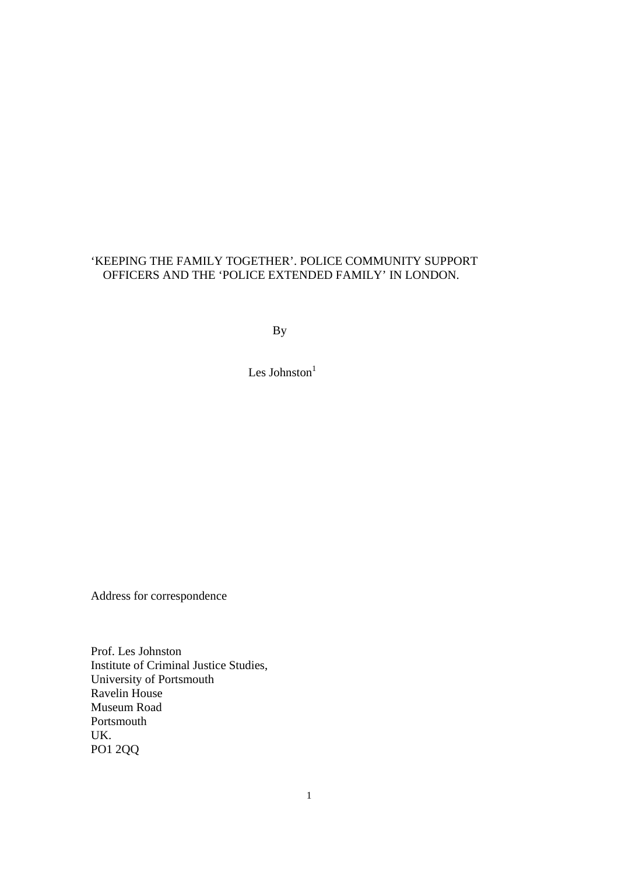# 'KEEPING THE FAMILY TOGETHER'. POLICE COMMUNITY SUPPORT OFFICERS AND THE 'POLICE EXTENDED FAMILY' IN LONDON.

By

Les Johnston $<sup>1</sup>$ </sup>

Address for correspondence

Prof. Les Johnston Institute of Criminal Justice Studies, University of Portsmouth Ravelin House Museum Road Portsmouth UK. PO1 2QQ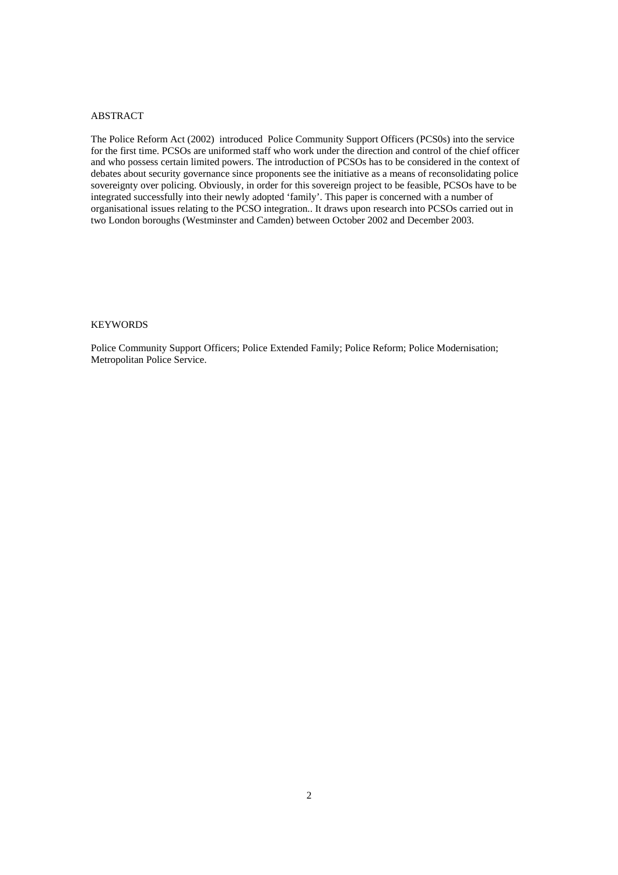#### ABSTRACT

The Police Reform Act (2002) introduced Police Community Support Officers (PCS0s) into the service for the first time. PCSOs are uniformed staff who work under the direction and control of the chief officer and who possess certain limited powers. The introduction of PCSOs has to be considered in the context of debates about security governance since proponents see the initiative as a means of reconsolidating police sovereignty over policing. Obviously, in order for this sovereign project to be feasible, PCSOs have to be integrated successfully into their newly adopted 'family'. This paper is concerned with a number of organisational issues relating to the PCSO integration.. It draws upon research into PCSOs carried out in two London boroughs (Westminster and Camden) between October 2002 and December 2003.

#### KEYWORDS

Police Community Support Officers; Police Extended Family; Police Reform; Police Modernisation; Metropolitan Police Service.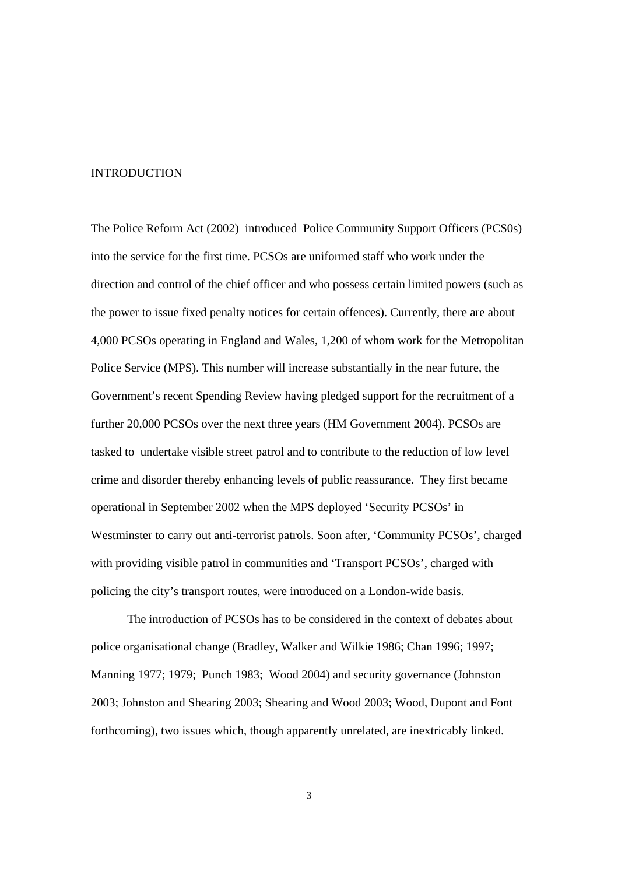#### INTRODUCTION

The Police Reform Act (2002) introduced Police Community Support Officers (PCS0s) into the service for the first time. PCSOs are uniformed staff who work under the direction and control of the chief officer and who possess certain limited powers (such as the power to issue fixed penalty notices for certain offences). Currently, there are about 4,000 PCSOs operating in England and Wales, 1,200 of whom work for the Metropolitan Police Service (MPS). This number will increase substantially in the near future, the Government's recent Spending Review having pledged support for the recruitment of a further 20,000 PCSOs over the next three years (HM Government 2004). PCSOs are tasked to undertake visible street patrol and to contribute to the reduction of low level crime and disorder thereby enhancing levels of public reassurance. They first became operational in September 2002 when the MPS deployed 'Security PCSOs' in Westminster to carry out anti-terrorist patrols. Soon after, 'Community PCSOs', charged with providing visible patrol in communities and 'Transport PCSOs', charged with policing the city's transport routes, were introduced on a London-wide basis.

The introduction of PCSOs has to be considered in the context of debates about police organisational change (Bradley, Walker and Wilkie 1986; Chan 1996; 1997; Manning 1977; 1979; Punch 1983; Wood 2004) and security governance (Johnston 2003; Johnston and Shearing 2003; Shearing and Wood 2003; Wood, Dupont and Font forthcoming), two issues which, though apparently unrelated, are inextricably linked.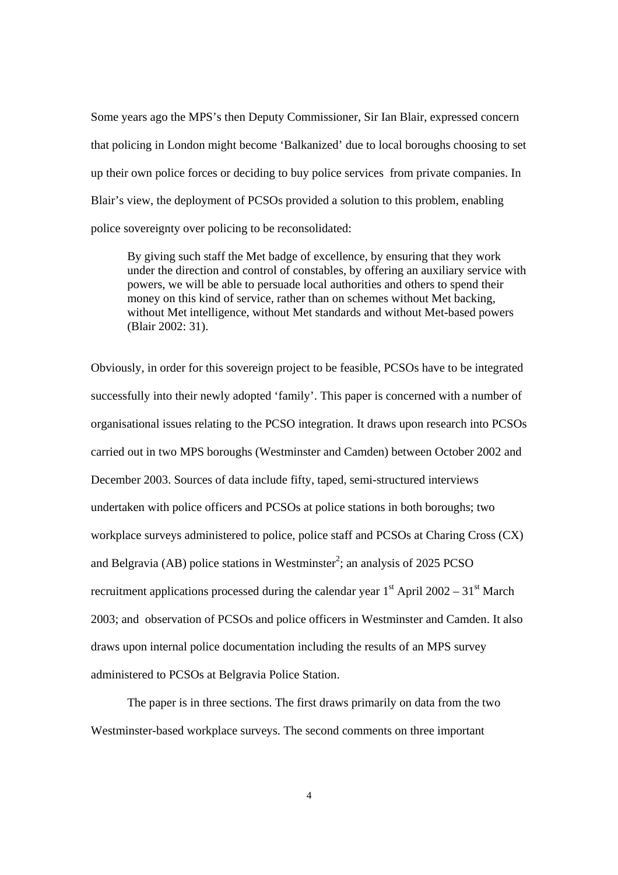Some years ago the MPS's then Deputy Commissioner, Sir Ian Blair, expressed concern that policing in London might become 'Balkanized' due to local boroughs choosing to set up their own police forces or deciding to buy police services from private companies. In Blair's view, the deployment of PCSOs provided a solution to this problem, enabling police sovereignty over policing to be reconsolidated:

By giving such staff the Met badge of excellence, by ensuring that they work under the direction and control of constables, by offering an auxiliary service with powers, we will be able to persuade local authorities and others to spend their money on this kind of service, rather than on schemes without Met backing, without Met intelligence, without Met standards and without Met-based powers (Blair 2002: 31).

Obviously, in order for this sovereign project to be feasible, PCSOs have to be integrated successfully into their newly adopted 'family'. This paper is concerned with a number of organisational issues relating to the PCSO integration. It draws upon research into PCSOs carried out in two MPS boroughs (Westminster and Camden) between October 2002 and December 2003. Sources of data include fifty, taped, semi-structured interviews undertaken with police officers and PCSOs at police stations in both boroughs; two workplace surveys administered to police, police staff and PCSOs at Charing Cross (CX) and Belgravia (AB) police stations in Westminster<sup>2</sup>; an analysis of 2025 PCSO recruitment applications processed during the calendar year  $1<sup>st</sup>$  April 2002 – 31<sup>st</sup> March 2003; and observation of PCSOs and police officers in Westminster and Camden. It also draws upon internal police documentation including the results of an MPS survey administered to PCSOs at Belgravia Police Station.

 The paper is in three sections. The first draws primarily on data from the two Westminster-based workplace surveys. The second comments on three important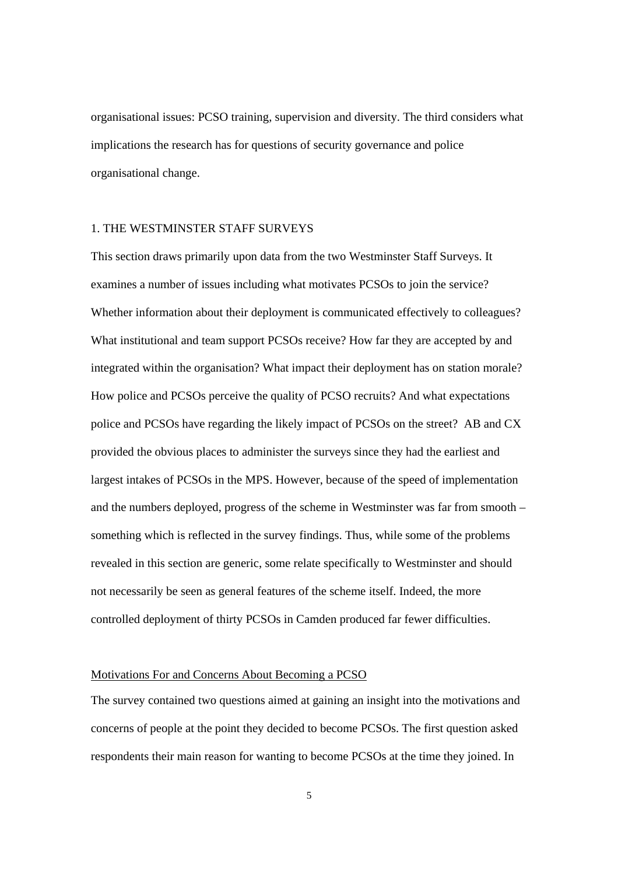organisational issues: PCSO training, supervision and diversity. The third considers what implications the research has for questions of security governance and police organisational change.

### 1. THE WESTMINSTER STAFF SURVEYS

This section draws primarily upon data from the two Westminster Staff Surveys. It examines a number of issues including what motivates PCSOs to join the service? Whether information about their deployment is communicated effectively to colleagues? What institutional and team support PCSOs receive? How far they are accepted by and integrated within the organisation? What impact their deployment has on station morale? How police and PCSOs perceive the quality of PCSO recruits? And what expectations police and PCSOs have regarding the likely impact of PCSOs on the street? AB and CX provided the obvious places to administer the surveys since they had the earliest and largest intakes of PCSOs in the MPS. However, because of the speed of implementation and the numbers deployed, progress of the scheme in Westminster was far from smooth – something which is reflected in the survey findings. Thus, while some of the problems revealed in this section are generic, some relate specifically to Westminster and should not necessarily be seen as general features of the scheme itself. Indeed, the more controlled deployment of thirty PCSOs in Camden produced far fewer difficulties.

# Motivations For and Concerns About Becoming a PCSO

The survey contained two questions aimed at gaining an insight into the motivations and concerns of people at the point they decided to become PCSOs. The first question asked respondents their main reason for wanting to become PCSOs at the time they joined. In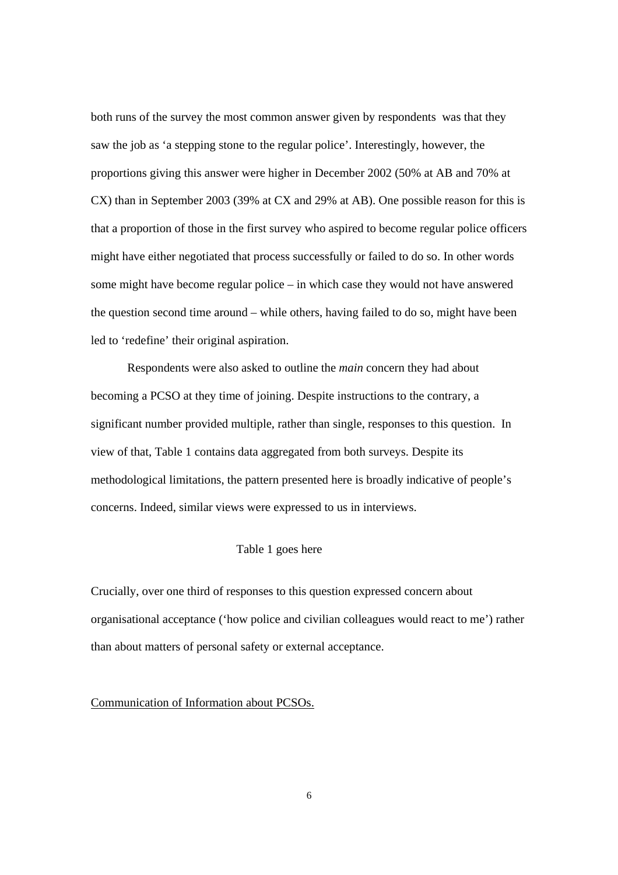both runs of the survey the most common answer given by respondents was that they saw the job as 'a stepping stone to the regular police'. Interestingly, however, the proportions giving this answer were higher in December 2002 (50% at AB and 70% at CX) than in September 2003 (39% at CX and 29% at AB). One possible reason for this is that a proportion of those in the first survey who aspired to become regular police officers might have either negotiated that process successfully or failed to do so. In other words some might have become regular police – in which case they would not have answered the question second time around – while others, having failed to do so, might have been led to 'redefine' their original aspiration.

Respondents were also asked to outline the *main* concern they had about becoming a PCSO at they time of joining. Despite instructions to the contrary, a significant number provided multiple, rather than single, responses to this question. In view of that, Table 1 contains data aggregated from both surveys. Despite its methodological limitations, the pattern presented here is broadly indicative of people's concerns. Indeed, similar views were expressed to us in interviews.

### Table 1 goes here

Crucially, over one third of responses to this question expressed concern about organisational acceptance ('how police and civilian colleagues would react to me') rather than about matters of personal safety or external acceptance.

Communication of Information about PCSOs.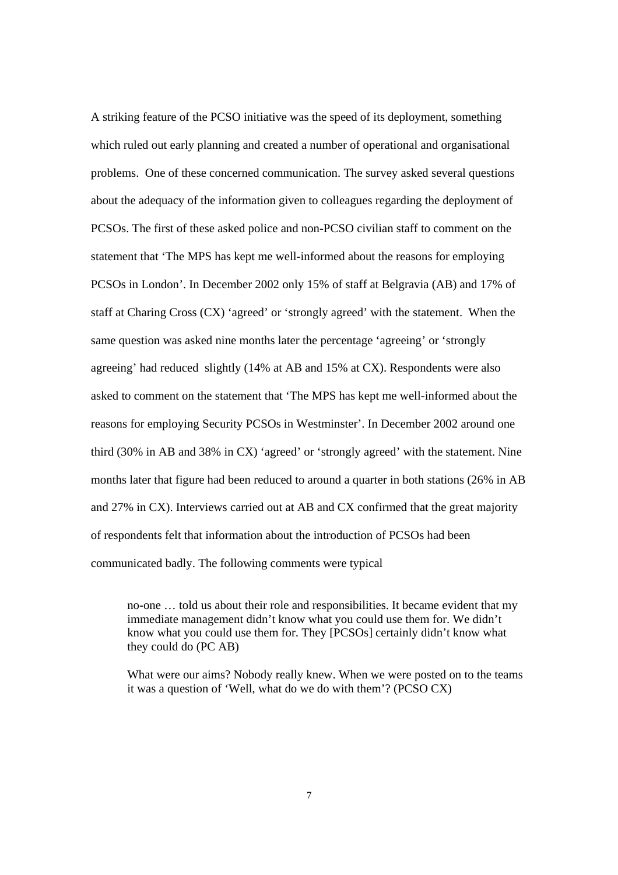A striking feature of the PCSO initiative was the speed of its deployment, something which ruled out early planning and created a number of operational and organisational problems. One of these concerned communication. The survey asked several questions about the adequacy of the information given to colleagues regarding the deployment of PCSOs. The first of these asked police and non-PCSO civilian staff to comment on the statement that 'The MPS has kept me well-informed about the reasons for employing PCSOs in London'. In December 2002 only 15% of staff at Belgravia (AB) and 17% of staff at Charing Cross (CX) 'agreed' or 'strongly agreed' with the statement. When the same question was asked nine months later the percentage 'agreeing' or 'strongly agreeing' had reduced slightly (14% at AB and 15% at CX). Respondents were also asked to comment on the statement that 'The MPS has kept me well-informed about the reasons for employing Security PCSOs in Westminster'. In December 2002 around one third (30% in AB and 38% in CX) 'agreed' or 'strongly agreed' with the statement. Nine months later that figure had been reduced to around a quarter in both stations (26% in AB and 27% in CX). Interviews carried out at AB and CX confirmed that the great majority of respondents felt that information about the introduction of PCSOs had been communicated badly. The following comments were typical

no-one … told us about their role and responsibilities. It became evident that my immediate management didn't know what you could use them for. We didn't know what you could use them for. They [PCSOs] certainly didn't know what they could do (PC AB)

What were our aims? Nobody really knew. When we were posted on to the teams it was a question of 'Well, what do we do with them'? (PCSO CX)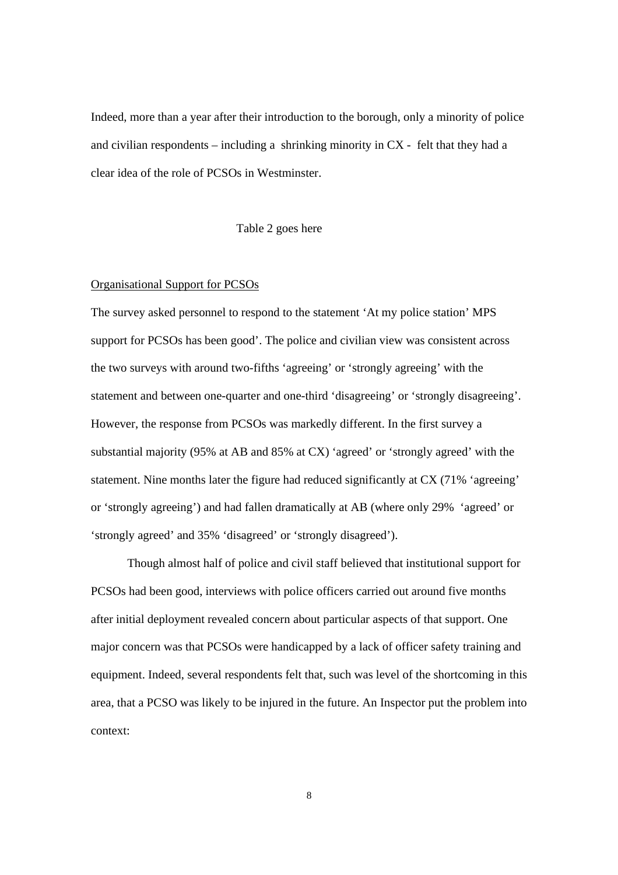Indeed, more than a year after their introduction to the borough, only a minority of police and civilian respondents – including a shrinking minority in CX - felt that they had a clear idea of the role of PCSOs in Westminster.

Table 2 goes here

# Organisational Support for PCSOs

The survey asked personnel to respond to the statement 'At my police station' MPS support for PCSOs has been good'. The police and civilian view was consistent across the two surveys with around two-fifths 'agreeing' or 'strongly agreeing' with the statement and between one-quarter and one-third 'disagreeing' or 'strongly disagreeing'. However, the response from PCSOs was markedly different. In the first survey a substantial majority (95% at AB and 85% at CX) 'agreed' or 'strongly agreed' with the statement. Nine months later the figure had reduced significantly at CX (71% 'agreeing' or 'strongly agreeing') and had fallen dramatically at AB (where only 29% 'agreed' or 'strongly agreed' and 35% 'disagreed' or 'strongly disagreed').

Though almost half of police and civil staff believed that institutional support for PCSOs had been good, interviews with police officers carried out around five months after initial deployment revealed concern about particular aspects of that support. One major concern was that PCSOs were handicapped by a lack of officer safety training and equipment. Indeed, several respondents felt that, such was level of the shortcoming in this area, that a PCSO was likely to be injured in the future. An Inspector put the problem into context: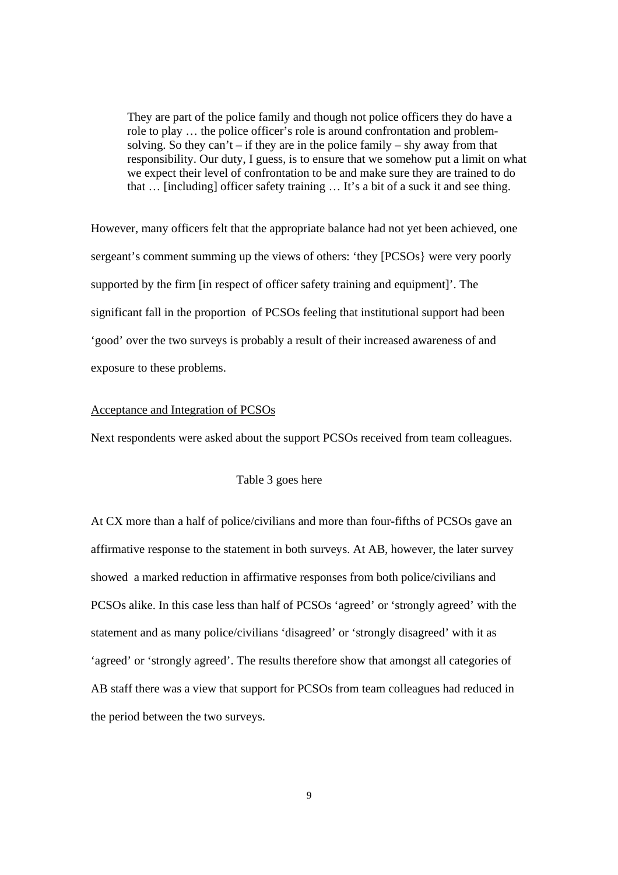They are part of the police family and though not police officers they do have a role to play … the police officer's role is around confrontation and problemsolving. So they can't – if they are in the police family – shy away from that responsibility. Our duty, I guess, is to ensure that we somehow put a limit on what we expect their level of confrontation to be and make sure they are trained to do that … [including] officer safety training … It's a bit of a suck it and see thing.

However, many officers felt that the appropriate balance had not yet been achieved, one sergeant's comment summing up the views of others: 'they [PCSOs} were very poorly supported by the firm [in respect of officer safety training and equipment]'. The significant fall in the proportion of PCSOs feeling that institutional support had been 'good' over the two surveys is probably a result of their increased awareness of and exposure to these problems.

### Acceptance and Integration of PCSOs

Next respondents were asked about the support PCSOs received from team colleagues.

# Table 3 goes here

At CX more than a half of police/civilians and more than four-fifths of PCSOs gave an affirmative response to the statement in both surveys. At AB, however, the later survey showed a marked reduction in affirmative responses from both police/civilians and PCSOs alike. In this case less than half of PCSOs 'agreed' or 'strongly agreed' with the statement and as many police/civilians 'disagreed' or 'strongly disagreed' with it as 'agreed' or 'strongly agreed'. The results therefore show that amongst all categories of AB staff there was a view that support for PCSOs from team colleagues had reduced in the period between the two surveys.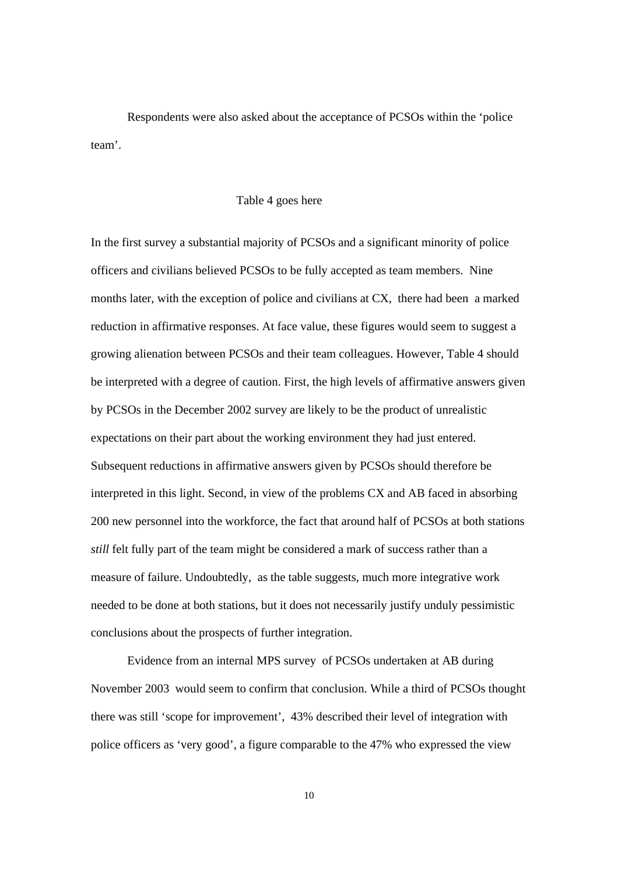Respondents were also asked about the acceptance of PCSOs within the 'police team'.

#### Table 4 goes here

In the first survey a substantial majority of PCSOs and a significant minority of police officers and civilians believed PCSOs to be fully accepted as team members. Nine months later, with the exception of police and civilians at CX, there had been a marked reduction in affirmative responses. At face value, these figures would seem to suggest a growing alienation between PCSOs and their team colleagues. However, Table 4 should be interpreted with a degree of caution. First, the high levels of affirmative answers given by PCSOs in the December 2002 survey are likely to be the product of unrealistic expectations on their part about the working environment they had just entered. Subsequent reductions in affirmative answers given by PCSOs should therefore be interpreted in this light. Second, in view of the problems CX and AB faced in absorbing 200 new personnel into the workforce, the fact that around half of PCSOs at both stations *still* felt fully part of the team might be considered a mark of success rather than a measure of failure. Undoubtedly, as the table suggests, much more integrative work needed to be done at both stations, but it does not necessarily justify unduly pessimistic conclusions about the prospects of further integration.

Evidence from an internal MPS survey of PCSOs undertaken at AB during November 2003 would seem to confirm that conclusion. While a third of PCSOs thought there was still 'scope for improvement', 43% described their level of integration with police officers as 'very good', a figure comparable to the 47% who expressed the view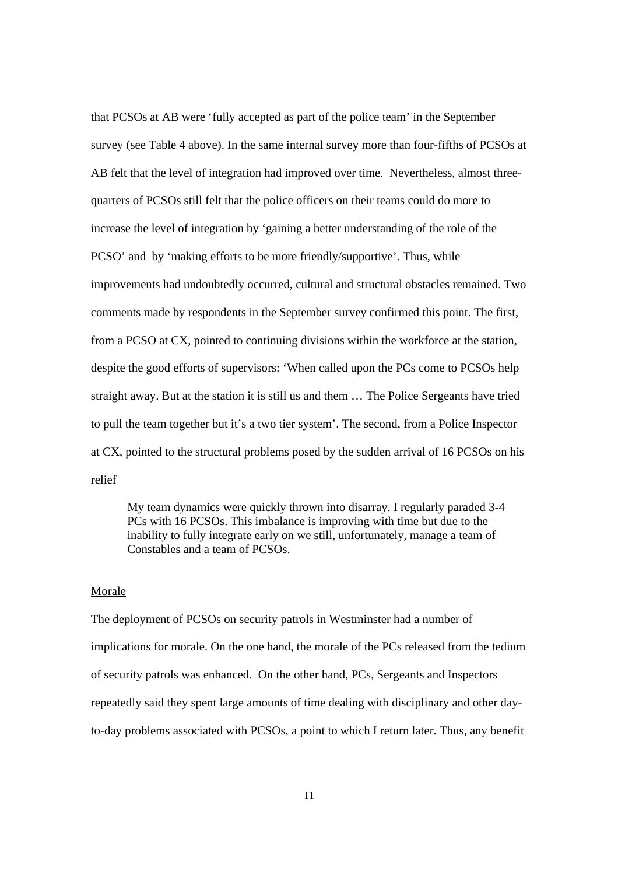that PCSOs at AB were 'fully accepted as part of the police team' in the September survey (see Table 4 above). In the same internal survey more than four-fifths of PCSOs at AB felt that the level of integration had improved over time. Nevertheless, almost threequarters of PCSOs still felt that the police officers on their teams could do more to increase the level of integration by 'gaining a better understanding of the role of the PCSO' and by 'making efforts to be more friendly/supportive'. Thus, while improvements had undoubtedly occurred, cultural and structural obstacles remained. Two comments made by respondents in the September survey confirmed this point. The first, from a PCSO at CX, pointed to continuing divisions within the workforce at the station, despite the good efforts of supervisors: 'When called upon the PCs come to PCSOs help straight away. But at the station it is still us and them … The Police Sergeants have tried to pull the team together but it's a two tier system'. The second, from a Police Inspector at CX, pointed to the structural problems posed by the sudden arrival of 16 PCSOs on his relief

My team dynamics were quickly thrown into disarray. I regularly paraded 3-4 PCs with 16 PCSOs. This imbalance is improving with time but due to the inability to fully integrate early on we still, unfortunately, manage a team of Constables and a team of PCSOs.

# Morale

The deployment of PCSOs on security patrols in Westminster had a number of implications for morale. On the one hand, the morale of the PCs released from the tedium of security patrols was enhanced. On the other hand, PCs, Sergeants and Inspectors repeatedly said they spent large amounts of time dealing with disciplinary and other dayto-day problems associated with PCSOs, a point to which I return later**.** Thus, any benefit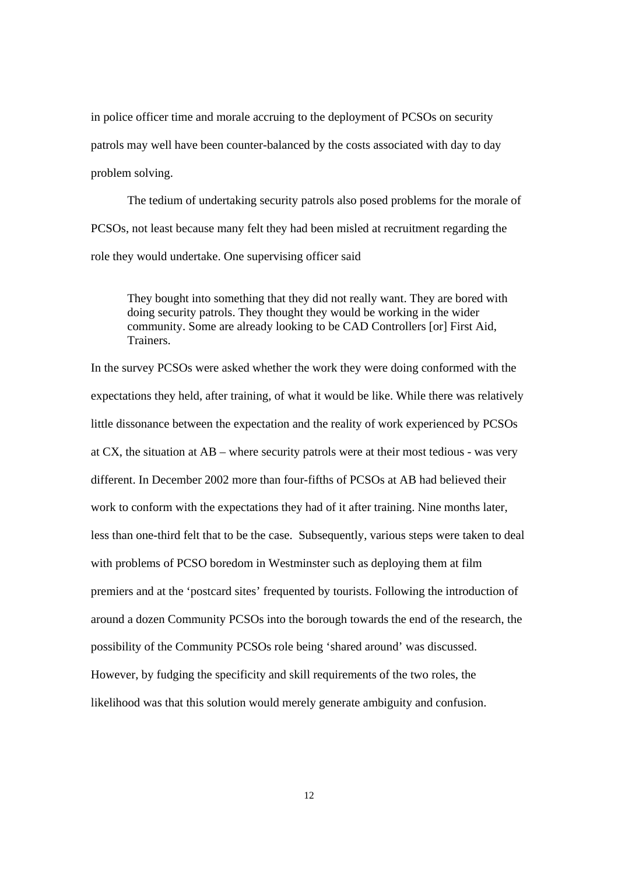in police officer time and morale accruing to the deployment of PCSOs on security patrols may well have been counter-balanced by the costs associated with day to day problem solving.

The tedium of undertaking security patrols also posed problems for the morale of PCSOs, not least because many felt they had been misled at recruitment regarding the role they would undertake. One supervising officer said

They bought into something that they did not really want. They are bored with doing security patrols. They thought they would be working in the wider community. Some are already looking to be CAD Controllers [or] First Aid, Trainers.

In the survey PCSOs were asked whether the work they were doing conformed with the expectations they held, after training, of what it would be like. While there was relatively little dissonance between the expectation and the reality of work experienced by PCSOs at CX, the situation at AB – where security patrols were at their most tedious - was very different. In December 2002 more than four-fifths of PCSOs at AB had believed their work to conform with the expectations they had of it after training. Nine months later, less than one-third felt that to be the case. Subsequently, various steps were taken to deal with problems of PCSO boredom in Westminster such as deploying them at film premiers and at the 'postcard sites' frequented by tourists. Following the introduction of around a dozen Community PCSOs into the borough towards the end of the research, the possibility of the Community PCSOs role being 'shared around' was discussed. However, by fudging the specificity and skill requirements of the two roles, the likelihood was that this solution would merely generate ambiguity and confusion.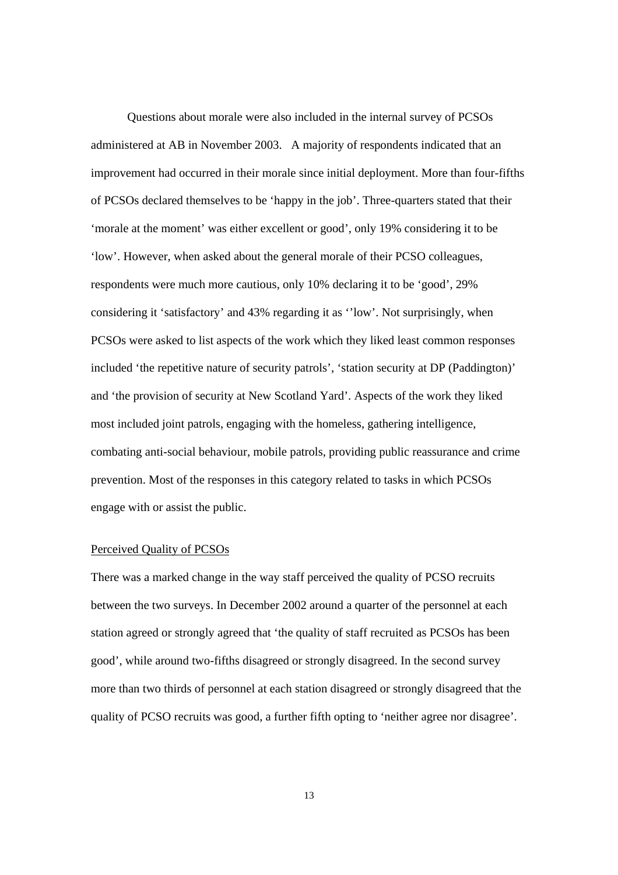Questions about morale were also included in the internal survey of PCSOs administered at AB in November 2003. A majority of respondents indicated that an improvement had occurred in their morale since initial deployment. More than four-fifths of PCSOs declared themselves to be 'happy in the job'. Three-quarters stated that their 'morale at the moment' was either excellent or good', only 19% considering it to be 'low'. However, when asked about the general morale of their PCSO colleagues, respondents were much more cautious, only 10% declaring it to be 'good', 29% considering it 'satisfactory' and 43% regarding it as ''low'. Not surprisingly, when PCSOs were asked to list aspects of the work which they liked least common responses included 'the repetitive nature of security patrols', 'station security at DP (Paddington)' and 'the provision of security at New Scotland Yard'. Aspects of the work they liked most included joint patrols, engaging with the homeless, gathering intelligence, combating anti-social behaviour, mobile patrols, providing public reassurance and crime prevention. Most of the responses in this category related to tasks in which PCSOs engage with or assist the public.

#### Perceived Quality of PCSOs

There was a marked change in the way staff perceived the quality of PCSO recruits between the two surveys. In December 2002 around a quarter of the personnel at each station agreed or strongly agreed that 'the quality of staff recruited as PCSOs has been good', while around two-fifths disagreed or strongly disagreed. In the second survey more than two thirds of personnel at each station disagreed or strongly disagreed that the quality of PCSO recruits was good, a further fifth opting to 'neither agree nor disagree'.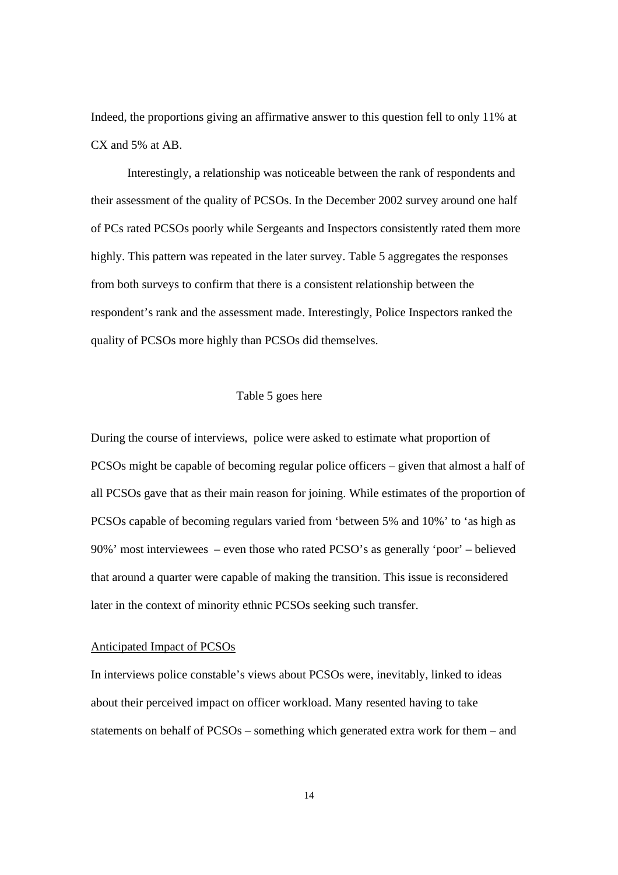Indeed, the proportions giving an affirmative answer to this question fell to only 11% at CX and 5% at AB.

 Interestingly, a relationship was noticeable between the rank of respondents and their assessment of the quality of PCSOs. In the December 2002 survey around one half of PCs rated PCSOs poorly while Sergeants and Inspectors consistently rated them more highly. This pattern was repeated in the later survey. Table 5 aggregates the responses from both surveys to confirm that there is a consistent relationship between the respondent's rank and the assessment made. Interestingly, Police Inspectors ranked the quality of PCSOs more highly than PCSOs did themselves.

# Table 5 goes here

During the course of interviews, police were asked to estimate what proportion of PCSOs might be capable of becoming regular police officers – given that almost a half of all PCSOs gave that as their main reason for joining. While estimates of the proportion of PCSOs capable of becoming regulars varied from 'between 5% and 10%' to 'as high as 90%' most interviewees – even those who rated PCSO's as generally 'poor' – believed that around a quarter were capable of making the transition. This issue is reconsidered later in the context of minority ethnic PCSOs seeking such transfer.

#### Anticipated Impact of PCSOs

In interviews police constable's views about PCSOs were, inevitably, linked to ideas about their perceived impact on officer workload. Many resented having to take statements on behalf of PCSOs – something which generated extra work for them – and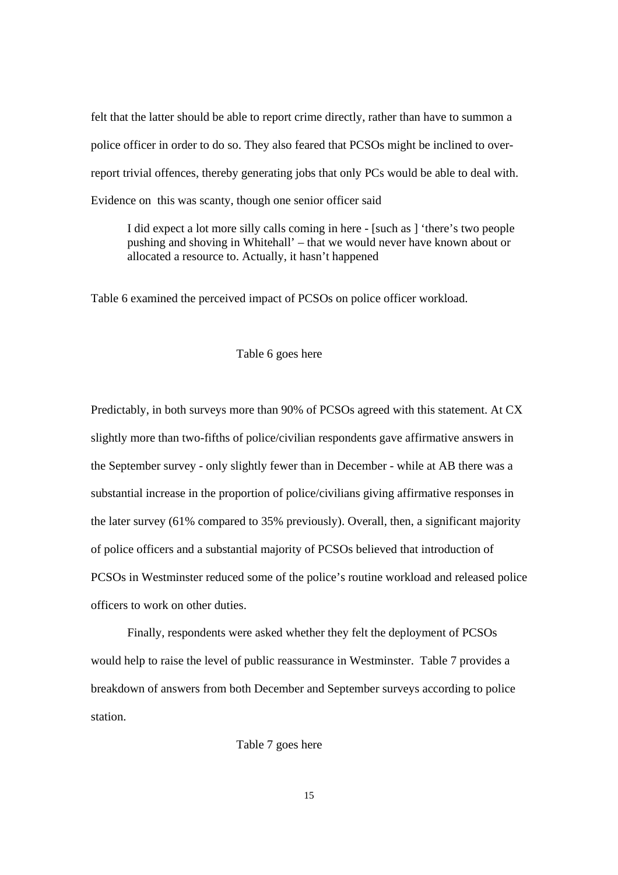felt that the latter should be able to report crime directly, rather than have to summon a police officer in order to do so. They also feared that PCSOs might be inclined to overreport trivial offences, thereby generating jobs that only PCs would be able to deal with. Evidence on this was scanty, though one senior officer said

I did expect a lot more silly calls coming in here - [such as ] 'there's two people pushing and shoving in Whitehall' – that we would never have known about or allocated a resource to. Actually, it hasn't happened

Table 6 examined the perceived impact of PCSOs on police officer workload.

# Table 6 goes here

Predictably, in both surveys more than 90% of PCSOs agreed with this statement. At CX slightly more than two-fifths of police/civilian respondents gave affirmative answers in the September survey - only slightly fewer than in December - while at AB there was a substantial increase in the proportion of police/civilians giving affirmative responses in the later survey (61% compared to 35% previously). Overall, then, a significant majority of police officers and a substantial majority of PCSOs believed that introduction of PCSOs in Westminster reduced some of the police's routine workload and released police officers to work on other duties.

Finally, respondents were asked whether they felt the deployment of PCSOs would help to raise the level of public reassurance in Westminster. Table 7 provides a breakdown of answers from both December and September surveys according to police station.

Table 7 goes here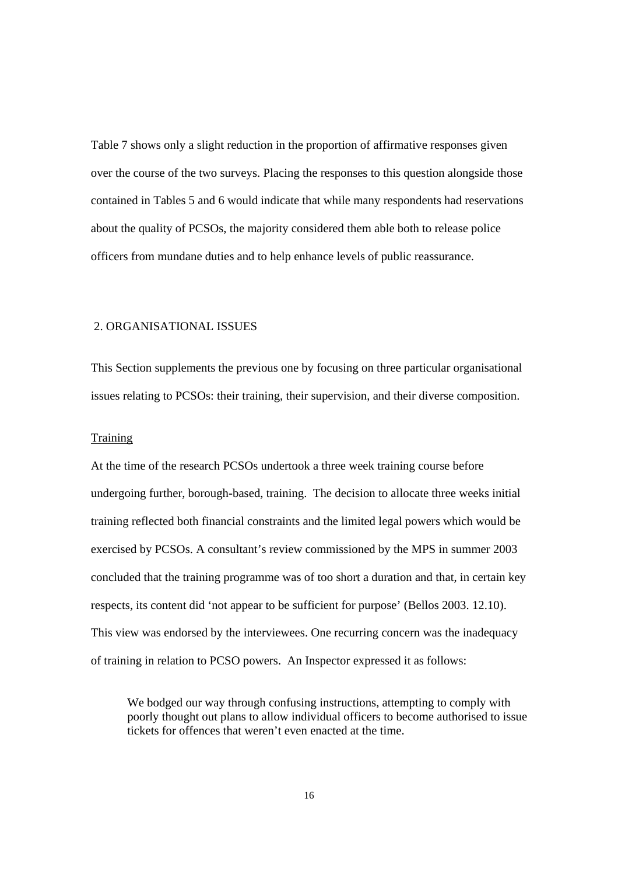Table 7 shows only a slight reduction in the proportion of affirmative responses given over the course of the two surveys. Placing the responses to this question alongside those contained in Tables 5 and 6 would indicate that while many respondents had reservations about the quality of PCSOs, the majority considered them able both to release police officers from mundane duties and to help enhance levels of public reassurance.

# 2. ORGANISATIONAL ISSUES

This Section supplements the previous one by focusing on three particular organisational issues relating to PCSOs: their training, their supervision, and their diverse composition.

# Training

At the time of the research PCSOs undertook a three week training course before undergoing further, borough-based, training. The decision to allocate three weeks initial training reflected both financial constraints and the limited legal powers which would be exercised by PCSOs. A consultant's review commissioned by the MPS in summer 2003 concluded that the training programme was of too short a duration and that, in certain key respects, its content did 'not appear to be sufficient for purpose' (Bellos 2003. 12.10). This view was endorsed by the interviewees. One recurring concern was the inadequacy of training in relation to PCSO powers. An Inspector expressed it as follows:

We bodged our way through confusing instructions, attempting to comply with poorly thought out plans to allow individual officers to become authorised to issue tickets for offences that weren't even enacted at the time.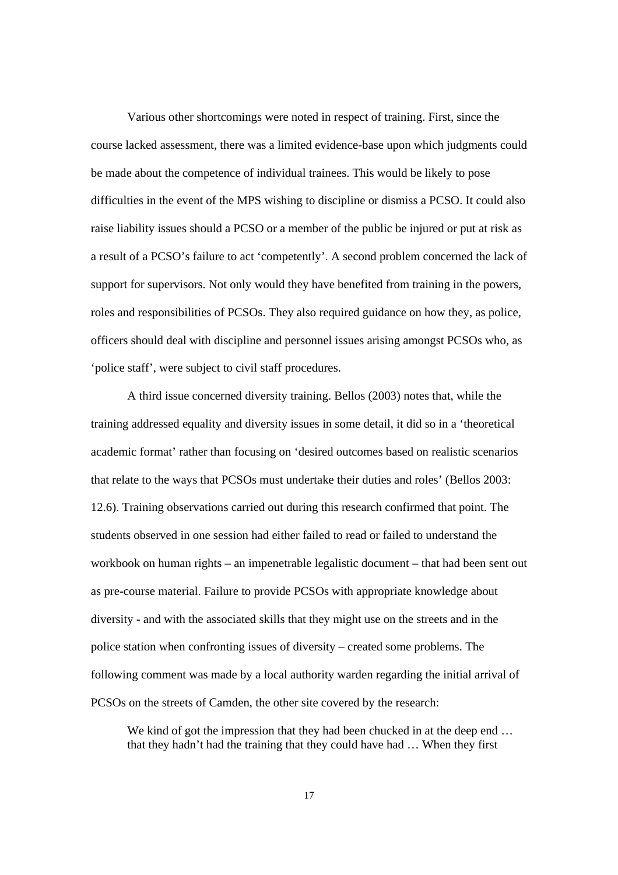Various other shortcomings were noted in respect of training. First, since the course lacked assessment, there was a limited evidence-base upon which judgments could be made about the competence of individual trainees. This would be likely to pose difficulties in the event of the MPS wishing to discipline or dismiss a PCSO. It could also raise liability issues should a PCSO or a member of the public be injured or put at risk as a result of a PCSO's failure to act 'competently'. A second problem concerned the lack of support for supervisors. Not only would they have benefited from training in the powers, roles and responsibilities of PCSOs. They also required guidance on how they, as police, officers should deal with discipline and personnel issues arising amongst PCSOs who, as 'police staff', were subject to civil staff procedures.

A third issue concerned diversity training. Bellos (2003) notes that, while the training addressed equality and diversity issues in some detail, it did so in a 'theoretical academic format' rather than focusing on 'desired outcomes based on realistic scenarios that relate to the ways that PCSOs must undertake their duties and roles' (Bellos 2003: 12.6). Training observations carried out during this research confirmed that point. The students observed in one session had either failed to read or failed to understand the workbook on human rights – an impenetrable legalistic document – that had been sent out as pre-course material. Failure to provide PCSOs with appropriate knowledge about diversity - and with the associated skills that they might use on the streets and in the police station when confronting issues of diversity – created some problems. The following comment was made by a local authority warden regarding the initial arrival of PCSOs on the streets of Camden, the other site covered by the research:

We kind of got the impression that they had been chucked in at the deep end ... that they hadn't had the training that they could have had … When they first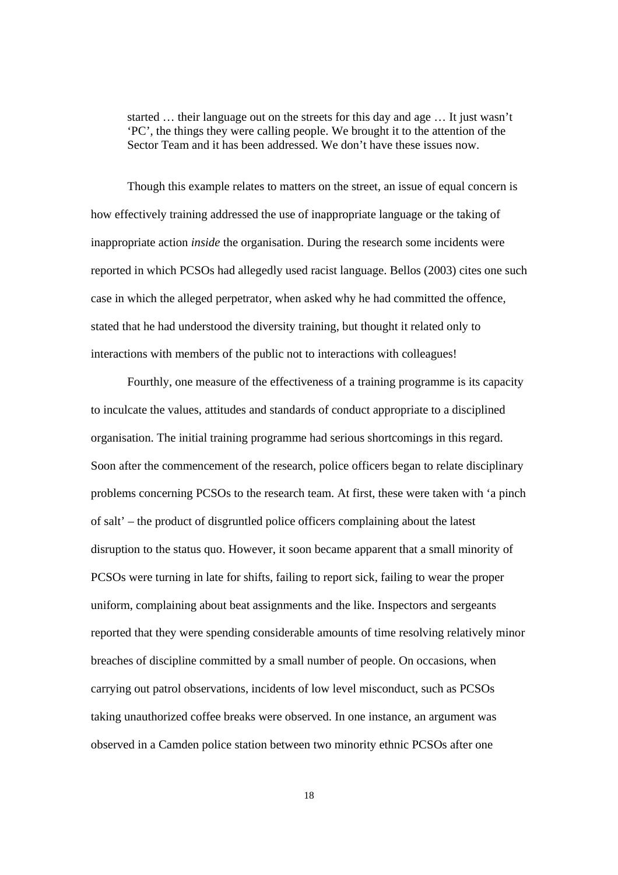started … their language out on the streets for this day and age … It just wasn't 'PC', the things they were calling people. We brought it to the attention of the Sector Team and it has been addressed. We don't have these issues now.

Though this example relates to matters on the street, an issue of equal concern is how effectively training addressed the use of inappropriate language or the taking of inappropriate action *inside* the organisation. During the research some incidents were reported in which PCSOs had allegedly used racist language. Bellos (2003) cites one such case in which the alleged perpetrator, when asked why he had committed the offence, stated that he had understood the diversity training, but thought it related only to interactions with members of the public not to interactions with colleagues!

Fourthly, one measure of the effectiveness of a training programme is its capacity to inculcate the values, attitudes and standards of conduct appropriate to a disciplined organisation. The initial training programme had serious shortcomings in this regard. Soon after the commencement of the research, police officers began to relate disciplinary problems concerning PCSOs to the research team. At first, these were taken with 'a pinch of salt' – the product of disgruntled police officers complaining about the latest disruption to the status quo. However, it soon became apparent that a small minority of PCSOs were turning in late for shifts, failing to report sick, failing to wear the proper uniform, complaining about beat assignments and the like. Inspectors and sergeants reported that they were spending considerable amounts of time resolving relatively minor breaches of discipline committed by a small number of people. On occasions, when carrying out patrol observations, incidents of low level misconduct, such as PCSOs taking unauthorized coffee breaks were observed. In one instance, an argument was observed in a Camden police station between two minority ethnic PCSOs after one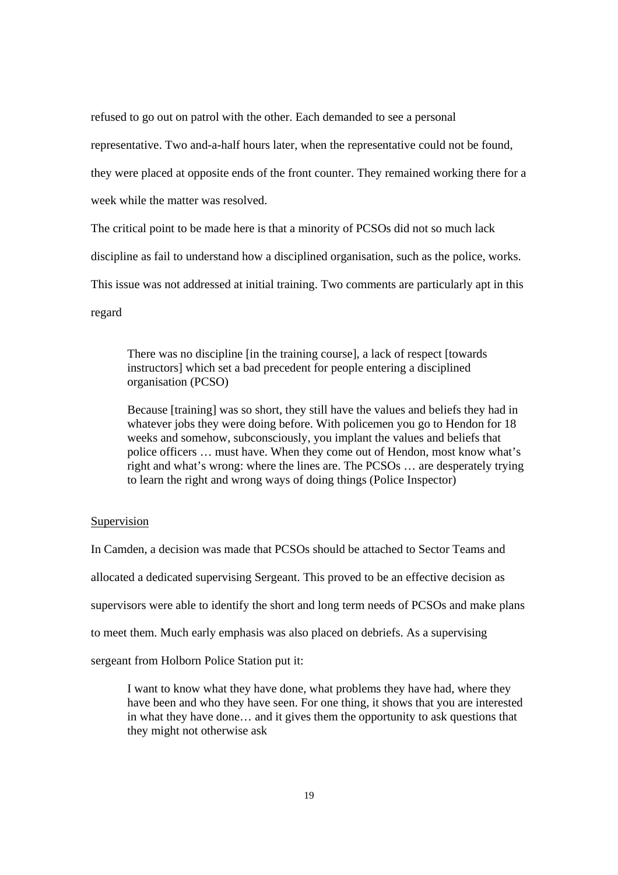refused to go out on patrol with the other. Each demanded to see a personal

representative. Two and-a-half hours later, when the representative could not be found,

they were placed at opposite ends of the front counter. They remained working there for a

week while the matter was resolved.

The critical point to be made here is that a minority of PCSOs did not so much lack

discipline as fail to understand how a disciplined organisation, such as the police, works.

This issue was not addressed at initial training. Two comments are particularly apt in this

regard

There was no discipline [in the training course], a lack of respect [towards instructors] which set a bad precedent for people entering a disciplined organisation (PCSO)

Because [training] was so short, they still have the values and beliefs they had in whatever jobs they were doing before. With policemen you go to Hendon for 18 weeks and somehow, subconsciously, you implant the values and beliefs that police officers … must have. When they come out of Hendon, most know what's right and what's wrong: where the lines are. The PCSOs … are desperately trying to learn the right and wrong ways of doing things (Police Inspector)

# Supervision

In Camden, a decision was made that PCSOs should be attached to Sector Teams and allocated a dedicated supervising Sergeant. This proved to be an effective decision as supervisors were able to identify the short and long term needs of PCSOs and make plans to meet them. Much early emphasis was also placed on debriefs. As a supervising sergeant from Holborn Police Station put it:

I want to know what they have done, what problems they have had, where they have been and who they have seen. For one thing, it shows that you are interested in what they have done… and it gives them the opportunity to ask questions that they might not otherwise ask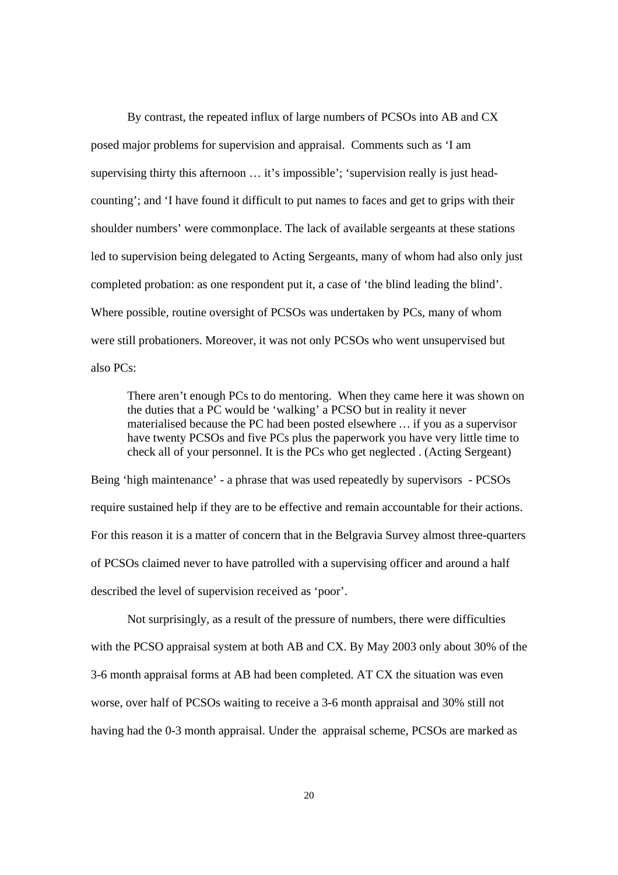By contrast, the repeated influx of large numbers of PCSOs into AB and CX posed major problems for supervision and appraisal. Comments such as 'I am supervising thirty this afternoon ... it's impossible'; 'supervision really is just headcounting'; and 'I have found it difficult to put names to faces and get to grips with their shoulder numbers' were commonplace. The lack of available sergeants at these stations led to supervision being delegated to Acting Sergeants, many of whom had also only just completed probation: as one respondent put it, a case of 'the blind leading the blind'. Where possible, routine oversight of PCSOs was undertaken by PCs, many of whom were still probationers. Moreover, it was not only PCSOs who went unsupervised but also PCs:

There aren't enough PCs to do mentoring. When they came here it was shown on the duties that a PC would be 'walking' a PCSO but in reality it never materialised because the PC had been posted elsewhere … if you as a supervisor have twenty PCSOs and five PCs plus the paperwork you have very little time to check all of your personnel. It is the PCs who get neglected . (Acting Sergeant)

Being 'high maintenance' - a phrase that was used repeatedly by supervisors - PCSOs require sustained help if they are to be effective and remain accountable for their actions. For this reason it is a matter of concern that in the Belgravia Survey almost three-quarters of PCSOs claimed never to have patrolled with a supervising officer and around a half described the level of supervision received as 'poor'.

Not surprisingly, as a result of the pressure of numbers, there were difficulties with the PCSO appraisal system at both AB and CX. By May 2003 only about 30% of the 3-6 month appraisal forms at AB had been completed. AT CX the situation was even worse, over half of PCSOs waiting to receive a 3-6 month appraisal and 30% still not having had the 0-3 month appraisal. Under the appraisal scheme, PCSOs are marked as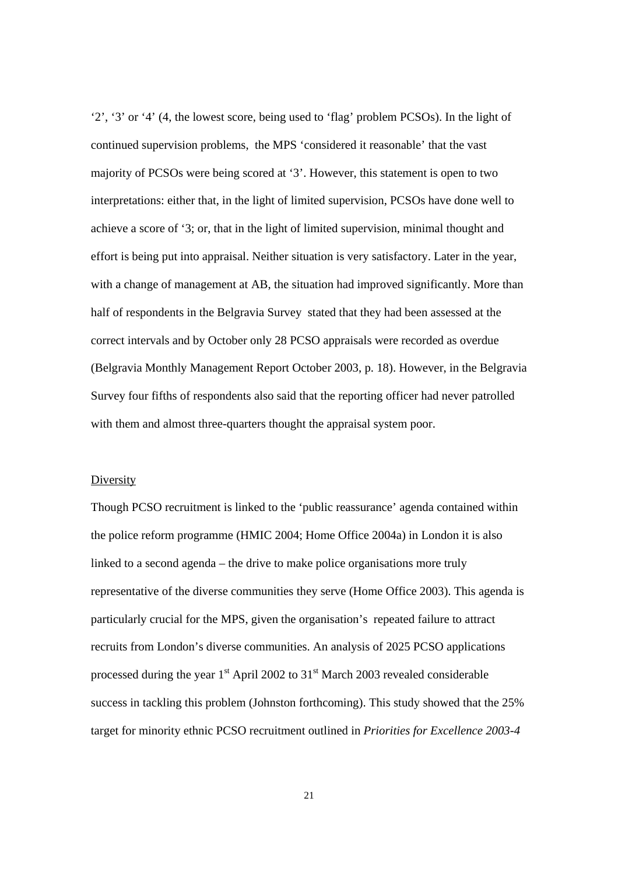'2', '3' or '4' (4, the lowest score, being used to 'flag' problem PCSOs). In the light of continued supervision problems, the MPS 'considered it reasonable' that the vast majority of PCSOs were being scored at '3'. However, this statement is open to two interpretations: either that, in the light of limited supervision, PCSOs have done well to achieve a score of '3; or, that in the light of limited supervision, minimal thought and effort is being put into appraisal. Neither situation is very satisfactory. Later in the year, with a change of management at AB, the situation had improved significantly. More than half of respondents in the Belgravia Survey stated that they had been assessed at the correct intervals and by October only 28 PCSO appraisals were recorded as overdue (Belgravia Monthly Management Report October 2003, p. 18). However, in the Belgravia Survey four fifths of respondents also said that the reporting officer had never patrolled with them and almost three-quarters thought the appraisal system poor.

#### Diversity

Though PCSO recruitment is linked to the 'public reassurance' agenda contained within the police reform programme (HMIC 2004; Home Office 2004a) in London it is also linked to a second agenda – the drive to make police organisations more truly representative of the diverse communities they serve (Home Office 2003). This agenda is particularly crucial for the MPS, given the organisation's repeated failure to attract recruits from London's diverse communities. An analysis of 2025 PCSO applications processed during the year  $1<sup>st</sup>$  April 2002 to  $31<sup>st</sup>$  March 2003 revealed considerable success in tackling this problem (Johnston forthcoming). This study showed that the 25% target for minority ethnic PCSO recruitment outlined in *Priorities for Excellence 2003-4*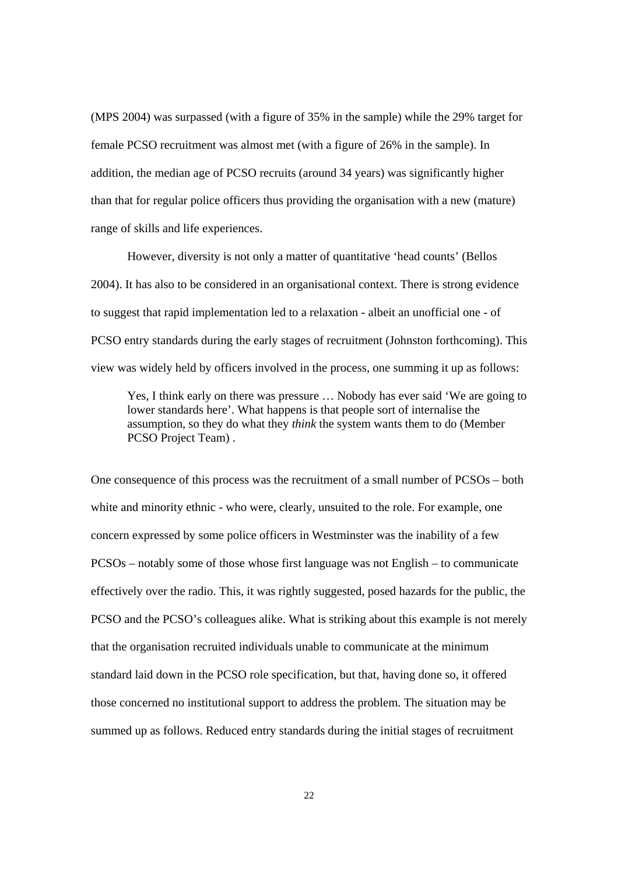(MPS 2004) was surpassed (with a figure of 35% in the sample) while the 29% target for female PCSO recruitment was almost met (with a figure of 26% in the sample). In addition, the median age of PCSO recruits (around 34 years) was significantly higher than that for regular police officers thus providing the organisation with a new (mature) range of skills and life experiences.

However, diversity is not only a matter of quantitative 'head counts' (Bellos 2004). It has also to be considered in an organisational context. There is strong evidence to suggest that rapid implementation led to a relaxation - albeit an unofficial one - of PCSO entry standards during the early stages of recruitment (Johnston forthcoming). This view was widely held by officers involved in the process, one summing it up as follows:

Yes, I think early on there was pressure … Nobody has ever said 'We are going to lower standards here'. What happens is that people sort of internalise the assumption, so they do what they *think* the system wants them to do (Member PCSO Project Team) .

One consequence of this process was the recruitment of a small number of PCSOs – both white and minority ethnic - who were, clearly, unsuited to the role. For example, one concern expressed by some police officers in Westminster was the inability of a few PCSOs – notably some of those whose first language was not English – to communicate effectively over the radio. This, it was rightly suggested, posed hazards for the public, the PCSO and the PCSO's colleagues alike. What is striking about this example is not merely that the organisation recruited individuals unable to communicate at the minimum standard laid down in the PCSO role specification, but that, having done so, it offered those concerned no institutional support to address the problem. The situation may be summed up as follows. Reduced entry standards during the initial stages of recruitment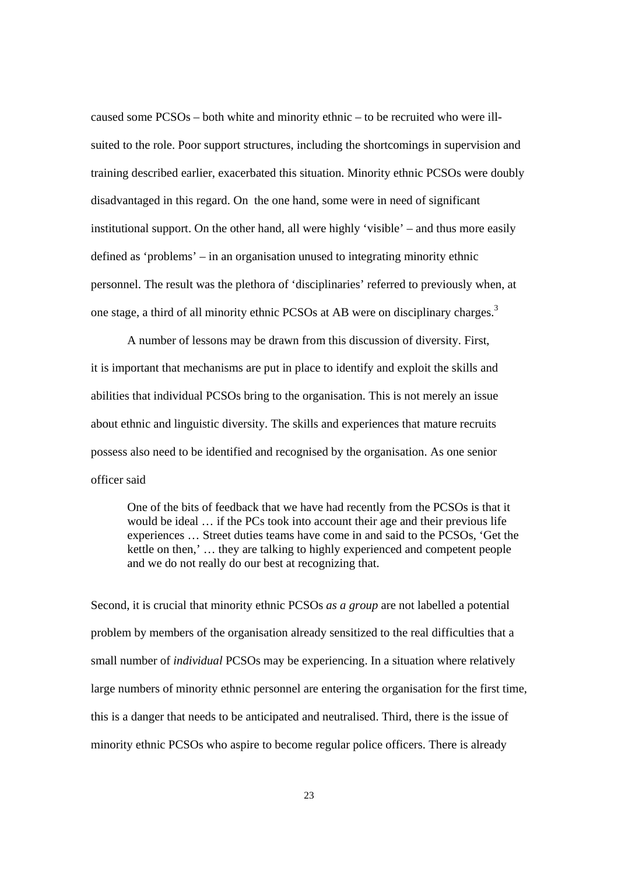caused some PCSOs – both white and minority ethnic – to be recruited who were illsuited to the role. Poor support structures, including the shortcomings in supervision and training described earlier, exacerbated this situation. Minority ethnic PCSOs were doubly disadvantaged in this regard. On the one hand, some were in need of significant institutional support. On the other hand, all were highly 'visible' – and thus more easily defined as 'problems' – in an organisation unused to integrating minority ethnic personnel. The result was the plethora of 'disciplinaries' referred to previously when, at one stage, a third of all minority ethnic PCSOs at AB were on disciplinary charges.<sup>3</sup>

 A number of lessons may be drawn from this discussion of diversity. First, it is important that mechanisms are put in place to identify and exploit the skills and abilities that individual PCSOs bring to the organisation. This is not merely an issue about ethnic and linguistic diversity. The skills and experiences that mature recruits possess also need to be identified and recognised by the organisation. As one senior officer said

One of the bits of feedback that we have had recently from the PCSOs is that it would be ideal … if the PCs took into account their age and their previous life experiences … Street duties teams have come in and said to the PCSOs, 'Get the kettle on then,' … they are talking to highly experienced and competent people and we do not really do our best at recognizing that.

Second, it is crucial that minority ethnic PCSOs *as a group* are not labelled a potential problem by members of the organisation already sensitized to the real difficulties that a small number of *individual* PCSOs may be experiencing. In a situation where relatively large numbers of minority ethnic personnel are entering the organisation for the first time, this is a danger that needs to be anticipated and neutralised. Third, there is the issue of minority ethnic PCSOs who aspire to become regular police officers. There is already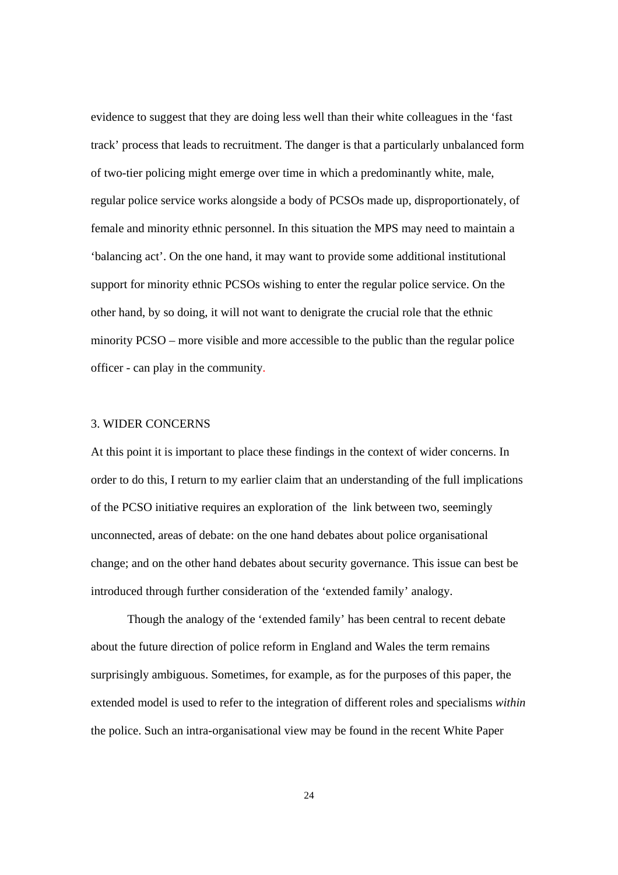evidence to suggest that they are doing less well than their white colleagues in the 'fast track' process that leads to recruitment. The danger is that a particularly unbalanced form of two-tier policing might emerge over time in which a predominantly white, male, regular police service works alongside a body of PCSOs made up, disproportionately, of female and minority ethnic personnel. In this situation the MPS may need to maintain a 'balancing act'. On the one hand, it may want to provide some additional institutional support for minority ethnic PCSOs wishing to enter the regular police service. On the other hand, by so doing, it will not want to denigrate the crucial role that the ethnic minority PCSO – more visible and more accessible to the public than the regular police officer - can play in the community.

# 3. WIDER CONCERNS

At this point it is important to place these findings in the context of wider concerns. In order to do this, I return to my earlier claim that an understanding of the full implications of the PCSO initiative requires an exploration of the link between two, seemingly unconnected, areas of debate: on the one hand debates about police organisational change; and on the other hand debates about security governance. This issue can best be introduced through further consideration of the 'extended family' analogy.

Though the analogy of the 'extended family' has been central to recent debate about the future direction of police reform in England and Wales the term remains surprisingly ambiguous. Sometimes, for example, as for the purposes of this paper, the extended model is used to refer to the integration of different roles and specialisms *within*  the police. Such an intra-organisational view may be found in the recent White Paper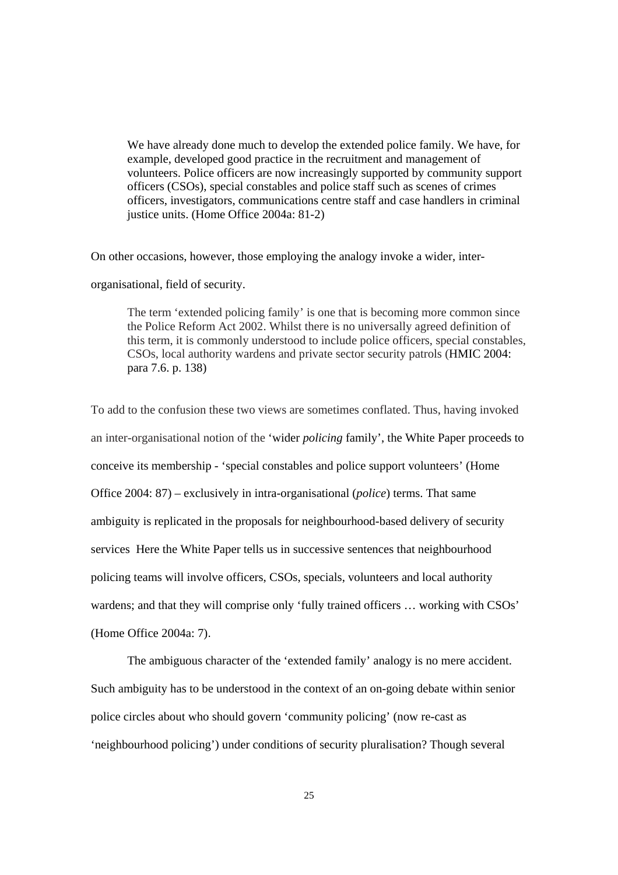We have already done much to develop the extended police family. We have, for example, developed good practice in the recruitment and management of volunteers. Police officers are now increasingly supported by community support officers (CSOs), special constables and police staff such as scenes of crimes officers, investigators, communications centre staff and case handlers in criminal justice units. (Home Office 2004a: 81-2)

On other occasions, however, those employing the analogy invoke a wider, inter-

organisational, field of security.

The term 'extended policing family' is one that is becoming more common since the Police Reform Act 2002. Whilst there is no universally agreed definition of this term, it is commonly understood to include police officers, special constables, CSOs, local authority wardens and private sector security patrols (HMIC 2004: para 7.6. p. 138)

To add to the confusion these two views are sometimes conflated. Thus, having invoked an inter-organisational notion of the 'wider *policing* family', the White Paper proceeds to conceive its membership - 'special constables and police support volunteers' (Home Office 2004: 87) – exclusively in intra-organisational (*police*) terms. That same ambiguity is replicated in the proposals for neighbourhood-based delivery of security services Here the White Paper tells us in successive sentences that neighbourhood policing teams will involve officers, CSOs, specials, volunteers and local authority wardens; and that they will comprise only 'fully trained officers … working with CSOs' (Home Office 2004a: 7).

The ambiguous character of the 'extended family' analogy is no mere accident. Such ambiguity has to be understood in the context of an on-going debate within senior police circles about who should govern 'community policing' (now re-cast as 'neighbourhood policing') under conditions of security pluralisation? Though several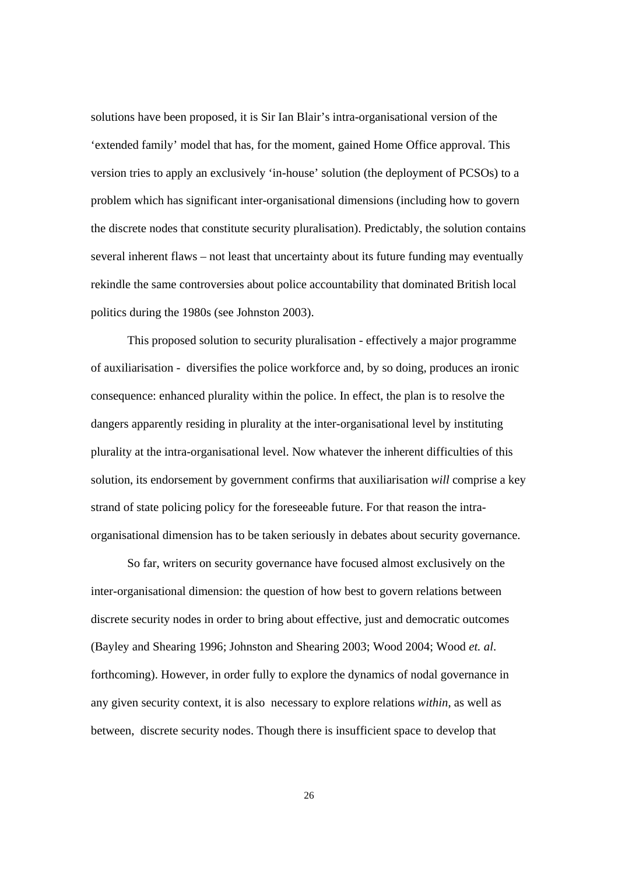solutions have been proposed, it is Sir Ian Blair's intra-organisational version of the 'extended family' model that has, for the moment, gained Home Office approval. This version tries to apply an exclusively 'in-house' solution (the deployment of PCSOs) to a problem which has significant inter-organisational dimensions (including how to govern the discrete nodes that constitute security pluralisation). Predictably, the solution contains several inherent flaws – not least that uncertainty about its future funding may eventually rekindle the same controversies about police accountability that dominated British local politics during the 1980s (see Johnston 2003).

This proposed solution to security pluralisation - effectively a major programme of auxiliarisation - diversifies the police workforce and, by so doing, produces an ironic consequence: enhanced plurality within the police. In effect, the plan is to resolve the dangers apparently residing in plurality at the inter-organisational level by instituting plurality at the intra-organisational level. Now whatever the inherent difficulties of this solution, its endorsement by government confirms that auxiliarisation *will* comprise a key strand of state policing policy for the foreseeable future. For that reason the intraorganisational dimension has to be taken seriously in debates about security governance.

So far, writers on security governance have focused almost exclusively on the inter-organisational dimension: the question of how best to govern relations between discrete security nodes in order to bring about effective, just and democratic outcomes (Bayley and Shearing 1996; Johnston and Shearing 2003; Wood 2004; Wood *et. al*. forthcoming). However, in order fully to explore the dynamics of nodal governance in any given security context, it is also necessary to explore relations *within*, as well as between, discrete security nodes. Though there is insufficient space to develop that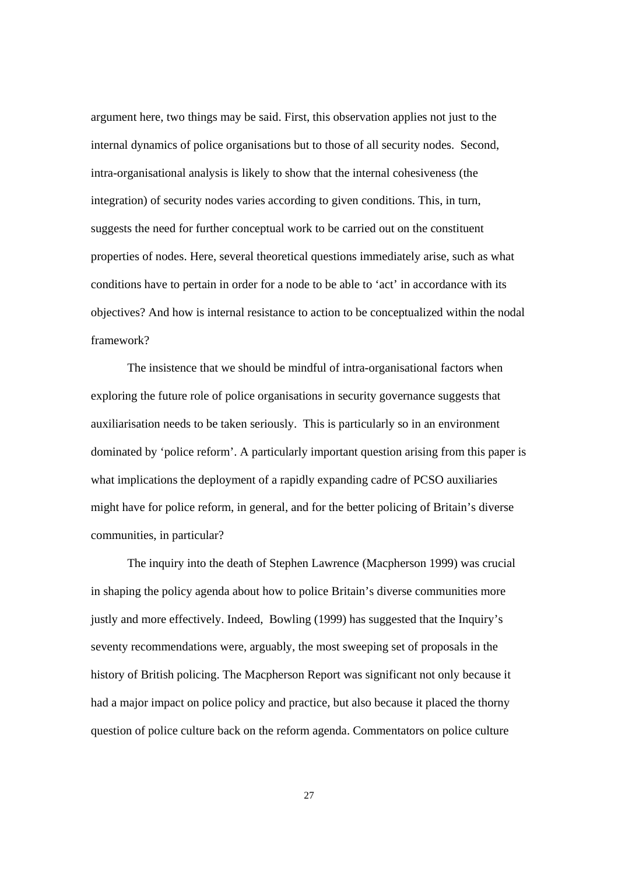argument here, two things may be said. First, this observation applies not just to the internal dynamics of police organisations but to those of all security nodes. Second, intra-organisational analysis is likely to show that the internal cohesiveness (the integration) of security nodes varies according to given conditions. This, in turn, suggests the need for further conceptual work to be carried out on the constituent properties of nodes. Here, several theoretical questions immediately arise, such as what conditions have to pertain in order for a node to be able to 'act' in accordance with its objectives? And how is internal resistance to action to be conceptualized within the nodal framework?

The insistence that we should be mindful of intra-organisational factors when exploring the future role of police organisations in security governance suggests that auxiliarisation needs to be taken seriously. This is particularly so in an environment dominated by 'police reform'. A particularly important question arising from this paper is what implications the deployment of a rapidly expanding cadre of PCSO auxiliaries might have for police reform, in general, and for the better policing of Britain's diverse communities, in particular?

The inquiry into the death of Stephen Lawrence (Macpherson 1999) was crucial in shaping the policy agenda about how to police Britain's diverse communities more justly and more effectively. Indeed, Bowling (1999) has suggested that the Inquiry's seventy recommendations were, arguably, the most sweeping set of proposals in the history of British policing. The Macpherson Report was significant not only because it had a major impact on police policy and practice, but also because it placed the thorny question of police culture back on the reform agenda. Commentators on police culture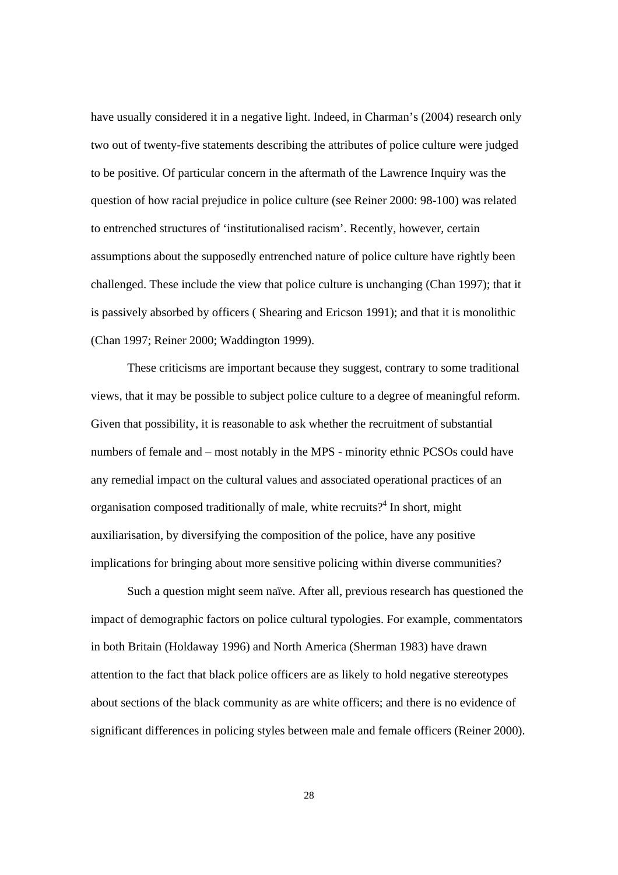have usually considered it in a negative light. Indeed, in Charman's (2004) research only two out of twenty-five statements describing the attributes of police culture were judged to be positive. Of particular concern in the aftermath of the Lawrence Inquiry was the question of how racial prejudice in police culture (see Reiner 2000: 98-100) was related to entrenched structures of 'institutionalised racism'. Recently, however, certain assumptions about the supposedly entrenched nature of police culture have rightly been challenged. These include the view that police culture is unchanging (Chan 1997); that it is passively absorbed by officers ( Shearing and Ericson 1991); and that it is monolithic (Chan 1997; Reiner 2000; Waddington 1999).

These criticisms are important because they suggest, contrary to some traditional views, that it may be possible to subject police culture to a degree of meaningful reform. Given that possibility, it is reasonable to ask whether the recruitment of substantial numbers of female and – most notably in the MPS - minority ethnic PCSOs could have any remedial impact on the cultural values and associated operational practices of an organisation composed traditionally of male, white recruits?<sup>4</sup> In short, might auxiliarisation, by diversifying the composition of the police, have any positive implications for bringing about more sensitive policing within diverse communities?

Such a question might seem naïve. After all, previous research has questioned the impact of demographic factors on police cultural typologies. For example, commentators in both Britain (Holdaway 1996) and North America (Sherman 1983) have drawn attention to the fact that black police officers are as likely to hold negative stereotypes about sections of the black community as are white officers; and there is no evidence of significant differences in policing styles between male and female officers (Reiner 2000).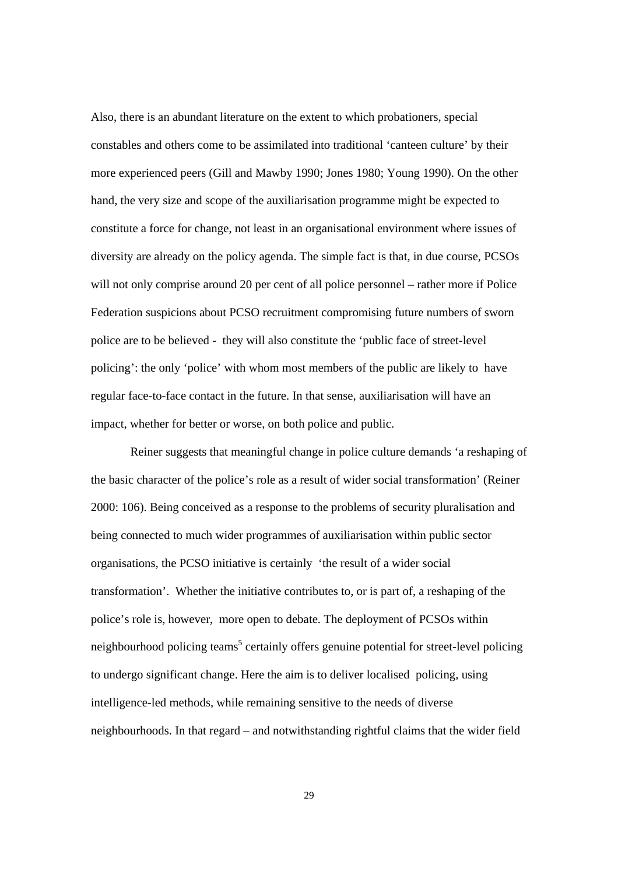Also, there is an abundant literature on the extent to which probationers, special constables and others come to be assimilated into traditional 'canteen culture' by their more experienced peers (Gill and Mawby 1990; Jones 1980; Young 1990). On the other hand, the very size and scope of the auxiliarisation programme might be expected to constitute a force for change, not least in an organisational environment where issues of diversity are already on the policy agenda. The simple fact is that, in due course, PCSOs will not only comprise around 20 per cent of all police personnel – rather more if Police Federation suspicions about PCSO recruitment compromising future numbers of sworn police are to be believed - they will also constitute the 'public face of street-level policing': the only 'police' with whom most members of the public are likely to have regular face-to-face contact in the future. In that sense, auxiliarisation will have an impact, whether for better or worse, on both police and public.

 Reiner suggests that meaningful change in police culture demands 'a reshaping of the basic character of the police's role as a result of wider social transformation' (Reiner 2000: 106). Being conceived as a response to the problems of security pluralisation and being connected to much wider programmes of auxiliarisation within public sector organisations, the PCSO initiative is certainly 'the result of a wider social transformation'. Whether the initiative contributes to, or is part of, a reshaping of the police's role is, however, more open to debate. The deployment of PCSOs within neighbourhood policing teams<sup>5</sup> certainly offers genuine potential for street-level policing to undergo significant change. Here the aim is to deliver localised policing, using intelligence-led methods, while remaining sensitive to the needs of diverse neighbourhoods. In that regard – and notwithstanding rightful claims that the wider field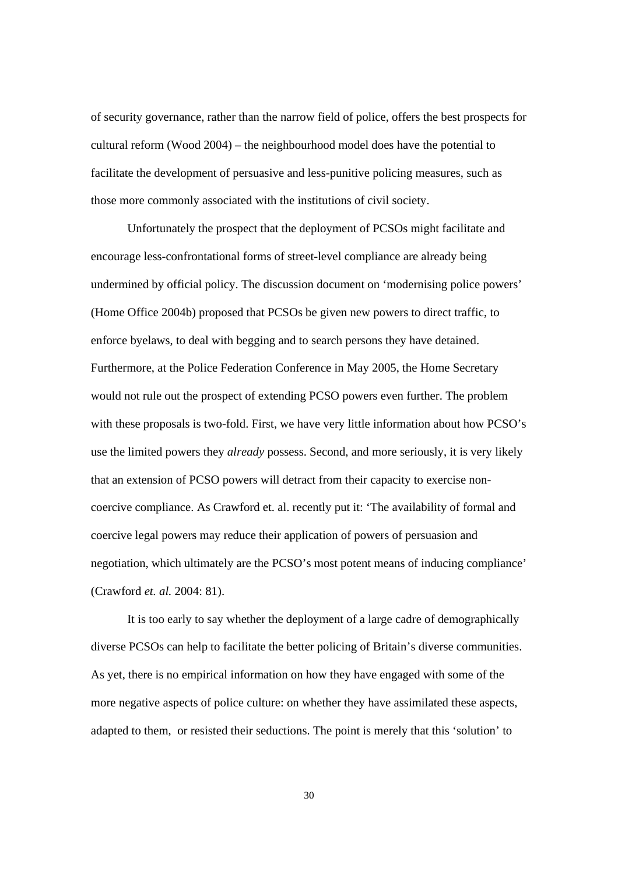of security governance, rather than the narrow field of police, offers the best prospects for cultural reform (Wood 2004) – the neighbourhood model does have the potential to facilitate the development of persuasive and less-punitive policing measures, such as those more commonly associated with the institutions of civil society.

Unfortunately the prospect that the deployment of PCSOs might facilitate and encourage less-confrontational forms of street-level compliance are already being undermined by official policy. The discussion document on 'modernising police powers' (Home Office 2004b) proposed that PCSOs be given new powers to direct traffic, to enforce byelaws, to deal with begging and to search persons they have detained. Furthermore, at the Police Federation Conference in May 2005, the Home Secretary would not rule out the prospect of extending PCSO powers even further. The problem with these proposals is two-fold. First, we have very little information about how PCSO's use the limited powers they *already* possess. Second, and more seriously, it is very likely that an extension of PCSO powers will detract from their capacity to exercise noncoercive compliance. As Crawford et. al. recently put it: 'The availability of formal and coercive legal powers may reduce their application of powers of persuasion and negotiation, which ultimately are the PCSO's most potent means of inducing compliance' (Crawford *et. al.* 2004: 81).

It is too early to say whether the deployment of a large cadre of demographically diverse PCSOs can help to facilitate the better policing of Britain's diverse communities. As yet, there is no empirical information on how they have engaged with some of the more negative aspects of police culture: on whether they have assimilated these aspects, adapted to them, or resisted their seductions. The point is merely that this 'solution' to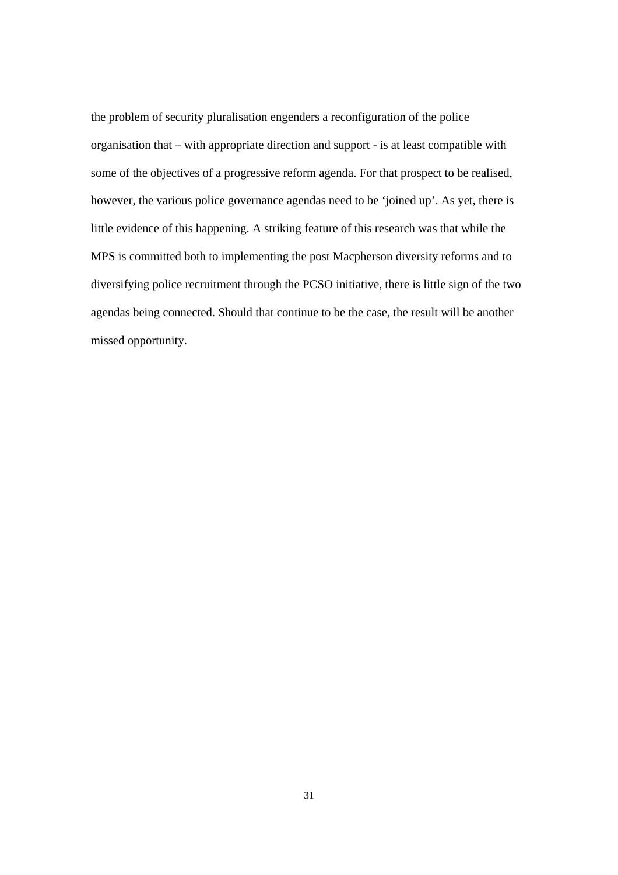the problem of security pluralisation engenders a reconfiguration of the police organisation that – with appropriate direction and support - is at least compatible with some of the objectives of a progressive reform agenda. For that prospect to be realised, however, the various police governance agendas need to be 'joined up'. As yet, there is little evidence of this happening. A striking feature of this research was that while the MPS is committed both to implementing the post Macpherson diversity reforms and to diversifying police recruitment through the PCSO initiative, there is little sign of the two agendas being connected. Should that continue to be the case, the result will be another missed opportunity.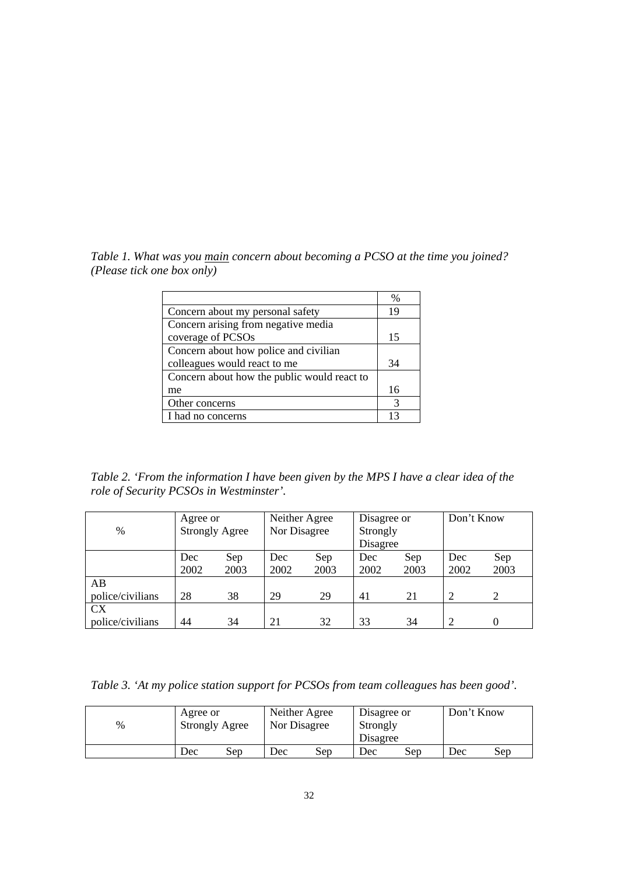*Table 1. What was you main concern about becoming a PCSO at the time you joined? (Please tick one box only)*

|                                             | $\frac{0}{0}$ |
|---------------------------------------------|---------------|
| Concern about my personal safety            | 19            |
| Concern arising from negative media         |               |
| coverage of PCSOs                           | 15            |
| Concern about how police and civilian       |               |
| colleagues would react to me                | 34            |
| Concern about how the public would react to |               |
| me                                          | 16            |
| Other concerns                              | 3             |
| I had no concerns                           | 13            |

*Table 2. 'From the information I have been given by the MPS I have a clear idea of the role of Security PCSOs in Westminster'.*

| $\%$                          | Agree or<br><b>Strongly Agree</b> |             | Neither Agree<br>Nor Disagree |             | Disagree or<br>Strongly<br>Disagree |             | Don't Know  |             |
|-------------------------------|-----------------------------------|-------------|-------------------------------|-------------|-------------------------------------|-------------|-------------|-------------|
|                               | Dec<br>2002                       | Sep<br>2003 | Dec<br>2002                   | Sep<br>2003 | Dec<br>2002                         | Sep<br>2003 | Dec<br>2002 | Sep<br>2003 |
| AВ<br>police/civilians        | 28                                | 38          | 29                            | 29          | 41                                  | 21          |             |             |
| <b>CX</b><br>police/civilians | 44                                | 34          | 21                            | 32          | 33                                  | 34          |             |             |

*Table 3. 'At my police station support for PCSOs from team colleagues has been good'.*

| $\%$ | Agree or<br><b>Strongly Agree</b> |     |     | Neither Agree<br>Nor Disagree |     | Disagree or<br>Strongly<br>Disagree | Don't Know |     |
|------|-----------------------------------|-----|-----|-------------------------------|-----|-------------------------------------|------------|-----|
|      | Dec                               | Sep | Dec | Sep                           | Dec | Sep                                 | Dec        | Sep |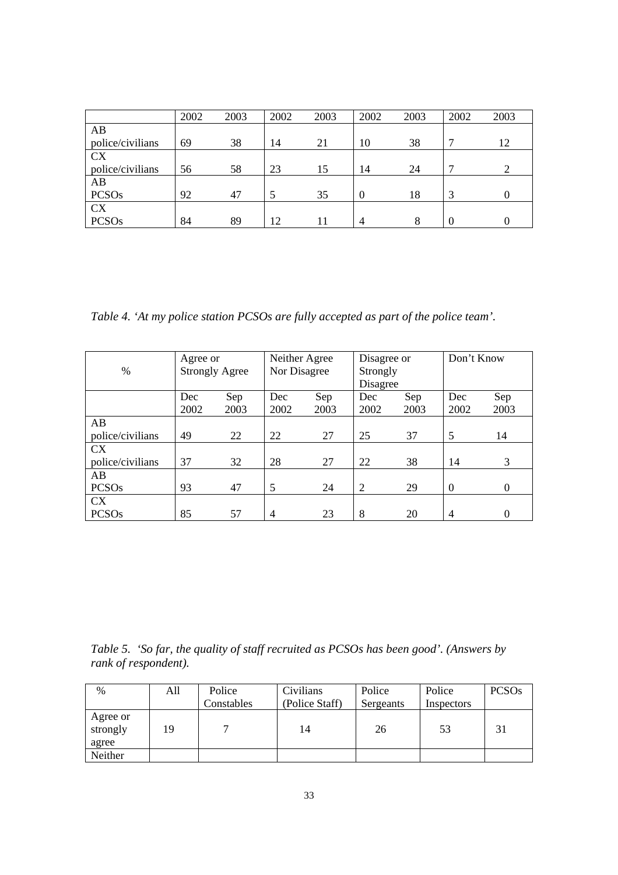|                  | 2002 | 2003 | 2002 | 2003 | 2002           | 2003     | 2002 | 2003 |
|------------------|------|------|------|------|----------------|----------|------|------|
| AB               |      |      |      |      |                |          |      |      |
| police/civilians | 69   | 38   | 14   | 21   | 10             | 38       |      | 12   |
| <b>CX</b>        |      |      |      |      |                |          |      |      |
| police/civilians | 56   | 58   | 23   | 15   | 14             | 24       |      |      |
| AB               |      |      |      |      |                |          |      |      |
| <b>PCSOs</b>     | 92   | 47   |      | 35   | $\Omega$       | 18       |      |      |
| <b>CX</b>        |      |      |      |      |                |          |      |      |
| <b>PCSOs</b>     | 84   | 89   | 12   |      | $\overline{4}$ | $\Omega$ |      |      |

*Table 4. 'At my police station PCSOs are fully accepted as part of the police team'.*

| $\%$                   | Agree or<br><b>Strongly Agree</b> |             | Neither Agree<br>Nor Disagree |             | Disagree or<br>Strongly<br>Disagree |             | Don't Know     |             |
|------------------------|-----------------------------------|-------------|-------------------------------|-------------|-------------------------------------|-------------|----------------|-------------|
|                        | Dec<br>2002                       | Sep<br>2003 | Dec<br>2002                   | Sep<br>2003 | Dec<br>2002                         | Sep<br>2003 | Dec<br>2002    | Sep<br>2003 |
| AB<br>police/civilians | 49                                | 22          | 22                            | 27          | 25                                  | 37          | 5              | 14          |
| <b>CX</b>              |                                   |             |                               |             |                                     |             |                |             |
| police/civilians       | 37                                | 32          | 28                            | 27          | 22                                  | 38          | 14             | 3           |
| AB                     |                                   |             |                               |             |                                     |             |                |             |
| <b>PCSOs</b>           | 93                                | 47          | 5                             | 24          | 2                                   | 29          | $\Omega$       | $\Omega$    |
| <b>CX</b>              |                                   |             |                               |             |                                     |             |                |             |
| <b>PCSOs</b>           | 85                                | 57          | $\overline{4}$                | 23          | 8                                   | 20          | $\overline{4}$ | 0           |

*Table 5. 'So far, the quality of staff recruited as PCSOs has been good'. (Answers by rank of respondent).* 

| $\%$                          | All | Police     | Civilians      | Police    | Police     | <b>PCSOs</b> |
|-------------------------------|-----|------------|----------------|-----------|------------|--------------|
|                               |     | Constables | (Police Staff) | Sergeants | Inspectors |              |
| Agree or<br>strongly<br>agree | 19  |            | 14             | 26        | 53         | 31           |
| Neither                       |     |            |                |           |            |              |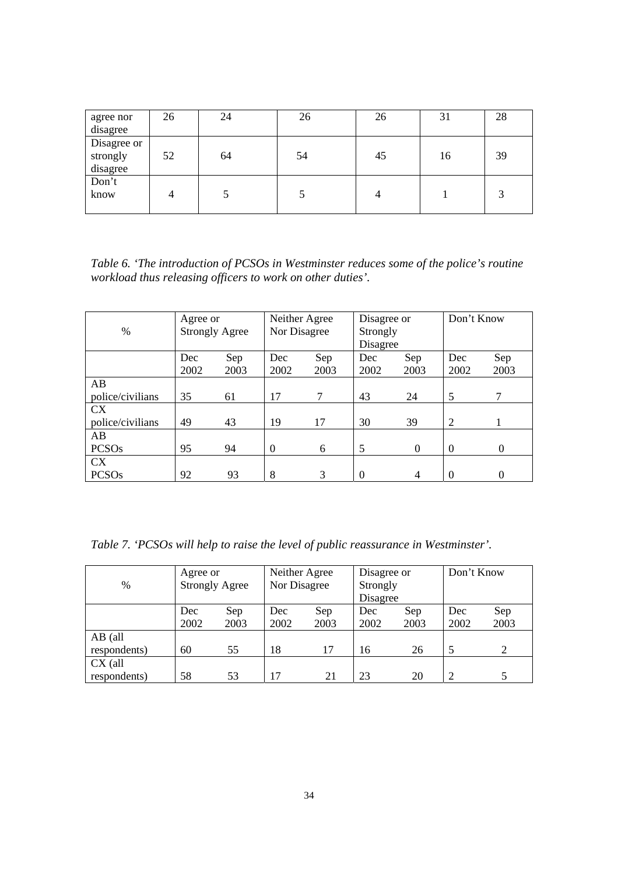| agree nor                           | 26 | 24 | 26 | 26 | 31 | 28 |
|-------------------------------------|----|----|----|----|----|----|
| disagree                            |    |    |    |    |    |    |
| Disagree or<br>strongly<br>disagree | 52 | 64 | 54 | 45 | 16 | 39 |
| Don't<br>know                       | 4  |    |    |    |    | 3  |

*Table 6. 'The introduction of PCSOs in Westminster reduces some of the police's routine workload thus releasing officers to work on other duties'.*

|                  | Agree or              |      | Neither Agree |      | Disagree or |          | Don't Know |          |
|------------------|-----------------------|------|---------------|------|-------------|----------|------------|----------|
| $\%$             | <b>Strongly Agree</b> |      | Nor Disagree  |      | Strongly    |          |            |          |
|                  |                       |      |               |      |             | Disagree |            |          |
|                  | Dec                   | Sep  | Dec           | Sep  | Dec         | Sep      | Dec        | Sep      |
|                  | 2002                  | 2003 | 2002          | 2003 | 2002        | 2003     | 2002       | 2003     |
| AB               |                       |      |               |      |             |          |            |          |
| police/civilians | 35                    | 61   | 17            | 7    | 43          | 24       | 5          | 7        |
| <b>CX</b>        |                       |      |               |      |             |          |            |          |
| police/civilians | 49                    | 43   | 19            | 17   | 30          | 39       | 2          |          |
| AB               |                       |      |               |      |             |          |            |          |
| <b>PCSOs</b>     | 95                    | 94   | $\theta$      | 6    | 5           | $\Omega$ | $\Omega$   | $\Omega$ |
| <b>CX</b>        |                       |      |               |      |             |          |            |          |
| <b>PCSOs</b>     | 92                    | 93   | 8             | 3    | 0           | 4        | $\Omega$   |          |

*Table 7. 'PCSOs will help to raise the level of public reassurance in Westminster'.* 

|              | Neither Agree<br>Agree or |      | Disagree or  |      | Don't Know |      |      |      |
|--------------|---------------------------|------|--------------|------|------------|------|------|------|
| $\%$         | <b>Strongly Agree</b>     |      | Nor Disagree |      | Strongly   |      |      |      |
|              |                           |      |              |      | Disagree   |      |      |      |
|              | Dec                       | Sep  | Dec          | Sep  | Dec        | Sep  | Dec  | Sep  |
|              | 2002                      | 2003 | 2002         | 2003 | 2002       | 2003 | 2002 | 2003 |
| $AB$ (all    |                           |      |              |      |            |      |      |      |
| respondents) | 60                        | 55   | 18           | 17   | 16         | 26   |      |      |
| $CX$ (all    |                           |      |              |      |            |      |      |      |
| respondents) | 58                        | 53   | 17           | 21   | 23         | 20   |      |      |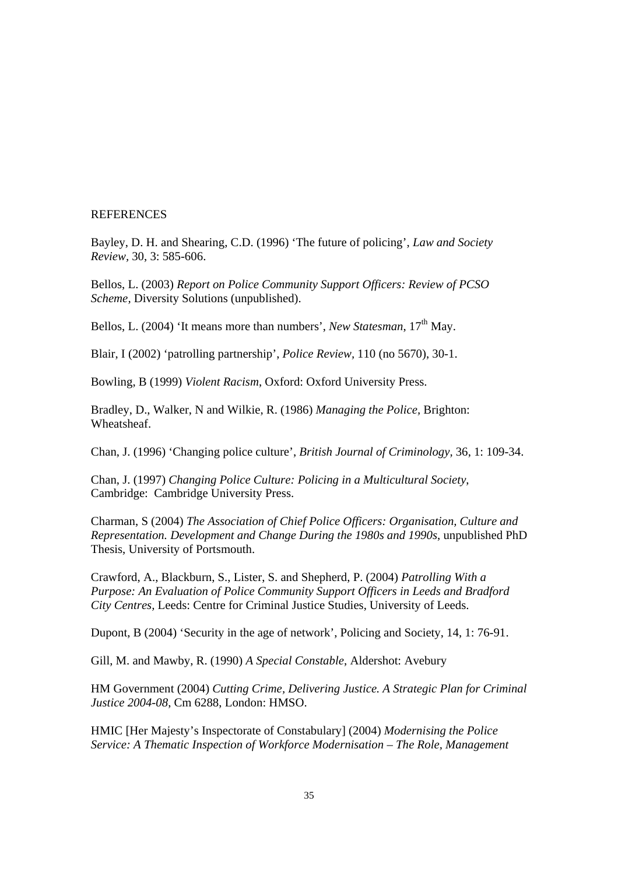### REFERENCES

Bayley, D. H. and Shearing, C.D. (1996) 'The future of policing', *Law and Society Review,* 30, 3: 585-606.

Bellos, L. (2003) *Report on Police Community Support Officers: Review of PCSO Scheme,* Diversity Solutions (unpublished).

Bellos, L. (2004) 'It means more than numbers', *New Statesman*, 17<sup>th</sup> May.

Blair, I (2002) 'patrolling partnership', *Police Review,* 110 (no 5670), 30-1.

Bowling, B (1999) *Violent Racism*, Oxford: Oxford University Press.

Bradley, D., Walker, N and Wilkie, R. (1986) *Managing the Police,* Brighton: Wheatsheaf.

Chan, J. (1996) 'Changing police culture', *British Journal of Criminology,* 36, 1: 109-34.

Chan, J. (1997) *Changing Police Culture: Policing in a Multicultural Society*, Cambridge: Cambridge University Press.

Charman, S (2004) *The Association of Chief Police Officers: Organisation, Culture and Representation. Development and Change During the 1980s and 1990s*, unpublished PhD Thesis, University of Portsmouth.

Crawford, A., Blackburn, S., Lister, S. and Shepherd, P. (2004) *Patrolling With a Purpose: An Evaluation of Police Community Support Officers in Leeds and Bradford City Centres,* Leeds: Centre for Criminal Justice Studies, University of Leeds.

Dupont, B (2004) 'Security in the age of network', Policing and Society, 14, 1: 76-91.

Gill, M. and Mawby, R. (1990) *A Special Constable*, Aldershot: Avebury

HM Government (2004) *Cutting Crime, Delivering Justice. A Strategic Plan for Criminal Justice 2004-08*, Cm 6288, London: HMSO.

HMIC [Her Majesty's Inspectorate of Constabulary] (2004) *Modernising the Police Service: A Thematic Inspection of Workforce Modernisation – The Role, Management*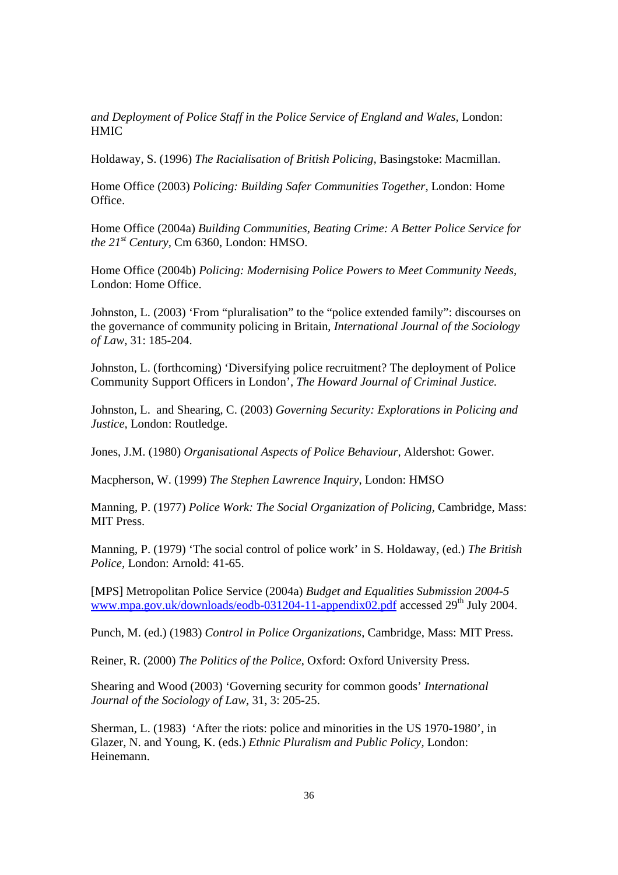*and Deployment of Police Staff in the Police Service of England and Wales,* London: **HMIC** 

Holdaway, S. (1996) *The Racialisation of British Policing,* Basingstoke: Macmillan.

Home Office (2003) *Policing: Building Safer Communities Together,* London: Home Office.

Home Office (2004a) *Building Communities, Beating Crime: A Better Police Service for the 21st Century,* Cm 6360, London: HMSO.

Home Office (2004b) *Policing: Modernising Police Powers to Meet Community Needs,*  London: Home Office.

Johnston, L. (2003) 'From "pluralisation" to the "police extended family": discourses on the governance of community policing in Britain, *International Journal of the Sociology of Law,* 31: 185-204.

Johnston, L. (forthcoming) 'Diversifying police recruitment? The deployment of Police Community Support Officers in London', *The Howard Journal of Criminal Justice.* 

Johnston, L. and Shearing, C. (2003) *Governing Security: Explorations in Policing and Justice,* London: Routledge.

Jones, J.M. (1980) *Organisational Aspects of Police Behaviour,* Aldershot: Gower.

Macpherson, W. (1999) *The Stephen Lawrence Inquiry*, London: HMSO

Manning, P. (1977) *Police Work: The Social Organization of Policing,* Cambridge, Mass: MIT Press.

Manning, P. (1979) 'The social control of police work' in S. Holdaway, (ed.) *The British Police,* London: Arnold: 41-65.

[MPS] Metropolitan Police Service (2004a) *Budget and Equalities Submission 2004-5* www.mpa.gov.uk/downloads/eodb-031204-11-appendix02.pdf accessed  $29<sup>th</sup>$  July 2004.

Punch, M. (ed.) (1983) *Control in Police Organizations*, Cambridge, Mass: MIT Press.

Reiner, R. (2000) *The Politics of the Police*, Oxford: Oxford University Press.

Shearing and Wood (2003) 'Governing security for common goods' *International Journal of the Sociology of Law*, 31, 3: 205-25.

Sherman, L. (1983) 'After the riots: police and minorities in the US 1970-1980', in Glazer, N. and Young, K. (eds.) *Ethnic Pluralism and Public Policy,* London: Heinemann.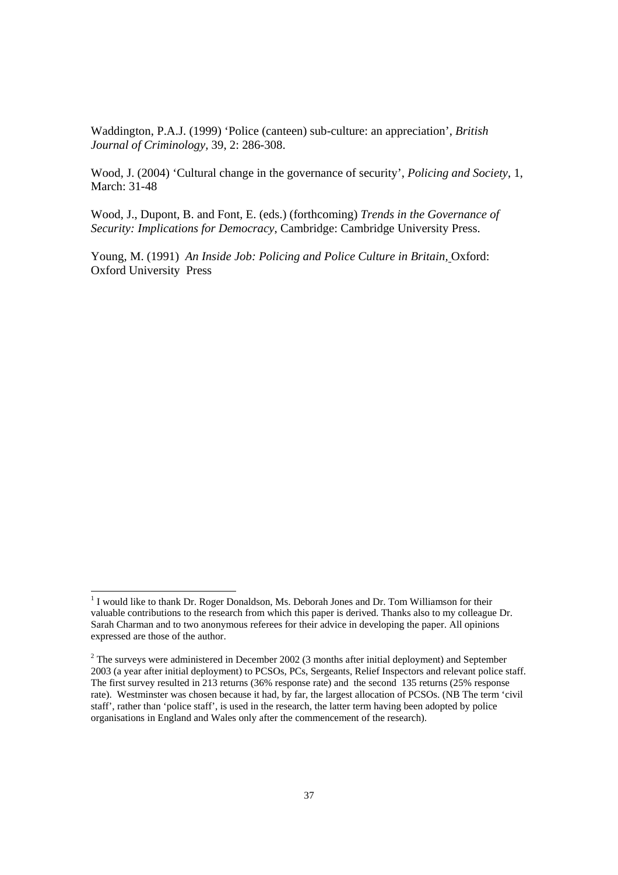Waddington, P.A.J. (1999) 'Police (canteen) sub-culture: an appreciation', *British Journal of Criminology,* 39, 2: 286-308.

Wood, J. (2004) 'Cultural change in the governance of security', *Policing and Society*, 1, March: 31-48

Wood, J., Dupont, B. and Font, E. (eds.) (forthcoming) *Trends in the Governance of Security: Implications for Democracy*, Cambridge: Cambridge University Press.

Young, M. (1991) *An Inside Job: Policing and Police Culture in Britain,* Oxford: Oxford University Press

l

<sup>&</sup>lt;sup>1</sup> I would like to thank Dr. Roger Donaldson, Ms. Deborah Jones and Dr. Tom Williamson for their valuable contributions to the research from which this paper is derived. Thanks also to my colleague Dr. Sarah Charman and to two anonymous referees for their advice in developing the paper. All opinions expressed are those of the author.

 $2^2$  The surveys were administered in December 2002 (3 months after initial deployment) and September 2003 (a year after initial deployment) to PCSOs, PCs, Sergeants, Relief Inspectors and relevant police staff. The first survey resulted in 213 returns (36% response rate) and the second 135 returns (25% response rate). Westminster was chosen because it had, by far, the largest allocation of PCSOs. (NB The term 'civil staff', rather than 'police staff', is used in the research, the latter term having been adopted by police organisations in England and Wales only after the commencement of the research).